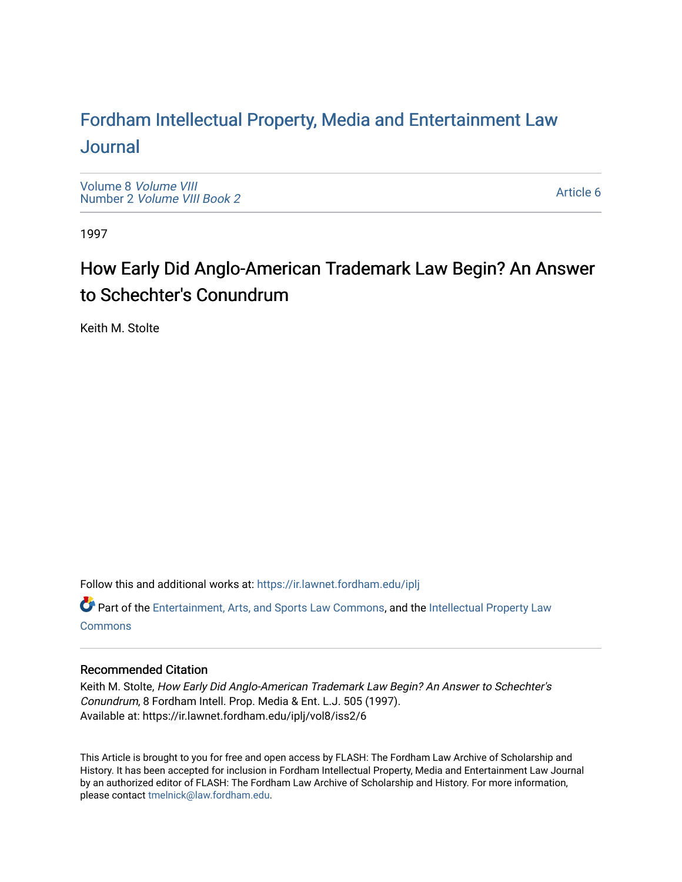# For[dham Intellectual Property, Media and Enter](https://ir.lawnet.fordham.edu/iplj)tainment Law [Journal](https://ir.lawnet.fordham.edu/iplj)

[Volume 8](https://ir.lawnet.fordham.edu/iplj/vol8) Volume VIII Number 2 [Volume VIII Book 2](https://ir.lawnet.fordham.edu/iplj/vol8/iss2)

[Article 6](https://ir.lawnet.fordham.edu/iplj/vol8/iss2/6) 

1997

# How Early Did Anglo-American Trademark Law Begin? An Answer to Schechter's Conundrum

Keith M. Stolte

Follow this and additional works at: [https://ir.lawnet.fordham.edu/iplj](https://ir.lawnet.fordham.edu/iplj?utm_source=ir.lawnet.fordham.edu%2Fiplj%2Fvol8%2Fiss2%2F6&utm_medium=PDF&utm_campaign=PDFCoverPages) 

Part of the [Entertainment, Arts, and Sports Law Commons](http://network.bepress.com/hgg/discipline/893?utm_source=ir.lawnet.fordham.edu%2Fiplj%2Fvol8%2Fiss2%2F6&utm_medium=PDF&utm_campaign=PDFCoverPages), and the [Intellectual Property Law](http://network.bepress.com/hgg/discipline/896?utm_source=ir.lawnet.fordham.edu%2Fiplj%2Fvol8%2Fiss2%2F6&utm_medium=PDF&utm_campaign=PDFCoverPages) **[Commons](http://network.bepress.com/hgg/discipline/896?utm_source=ir.lawnet.fordham.edu%2Fiplj%2Fvol8%2Fiss2%2F6&utm_medium=PDF&utm_campaign=PDFCoverPages)** 

# Recommended Citation

Keith M. Stolte, How Early Did Anglo-American Trademark Law Begin? An Answer to Schechter's Conundrum, 8 Fordham Intell. Prop. Media & Ent. L.J. 505 (1997). Available at: https://ir.lawnet.fordham.edu/iplj/vol8/iss2/6

This Article is brought to you for free and open access by FLASH: The Fordham Law Archive of Scholarship and History. It has been accepted for inclusion in Fordham Intellectual Property, Media and Entertainment Law Journal by an authorized editor of FLASH: The Fordham Law Archive of Scholarship and History. For more information, please contact [tmelnick@law.fordham.edu](mailto:tmelnick@law.fordham.edu).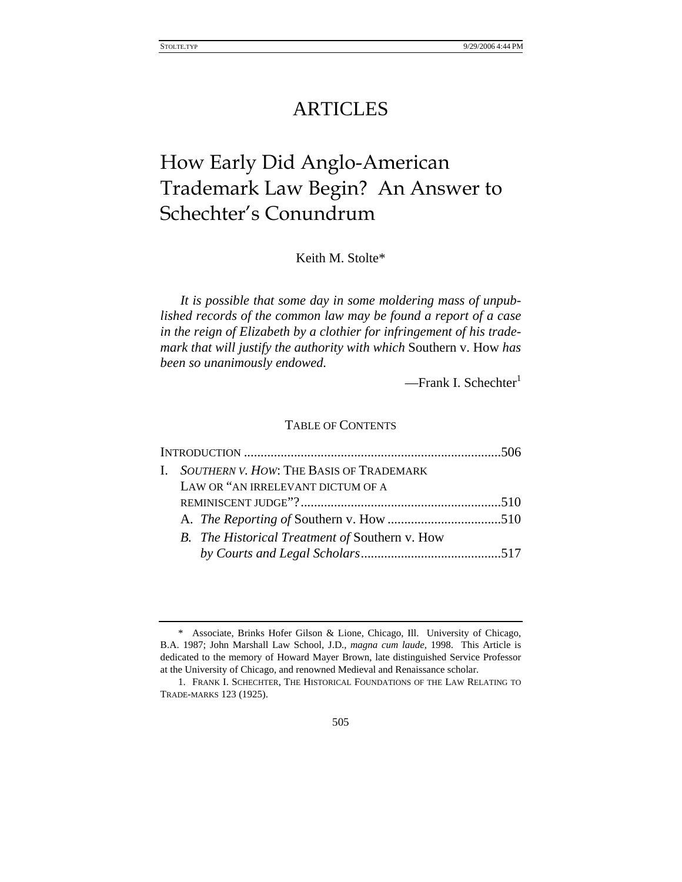# ARTICLES

# How Early Did Anglo-American Trademark Law Begin? An Answer to Schechter's Conundrum

Keith M. Stolte\*

*It is possible that some day in some moldering mass of unpublished records of the common law may be found a report of a case in the reign of Elizabeth by a clothier for infringement of his trademark that will justify the authority with which* Southern v. How *has been so unanimously endowed.*

 $-$ Frank I. Schechter $<sup>1</sup>$ </sup>

# TABLE OF CONTENTS

| I. SOUTHERN V. HOW: THE BASIS OF TRADEMARK     |  |
|------------------------------------------------|--|
| LAW OR "AN IRRELEVANT DICTUM OF A              |  |
|                                                |  |
|                                                |  |
| B. The Historical Treatment of Southern v. How |  |
|                                                |  |

<sup>\*</sup> Associate, Brinks Hofer Gilson & Lione, Chicago, Ill. University of Chicago, B.A. 1987; John Marshall Law School, J.D., *magna cum laude*, 1998. This Article is dedicated to the memory of Howard Mayer Brown, late distinguished Service Professor at the University of Chicago, and renowned Medieval and Renaissance scholar.

<sup>1.</sup> FRANK I. SCHECHTER, THE HISTORICAL FOUNDATIONS OF THE LAW RELATING TO TRADE-MARKS 123 (1925).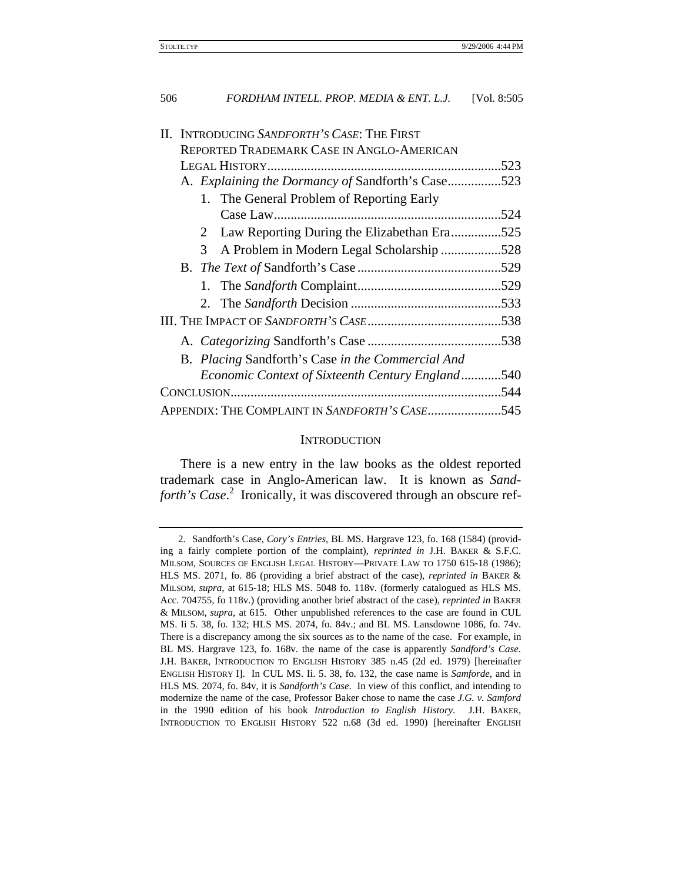| II. INTRODUCING SANDFORTH'S CASE: THE FIRST             |  |  |
|---------------------------------------------------------|--|--|
| <b>REPORTED TRADEMARK CASE IN ANGLO-AMERICAN</b>        |  |  |
| .523                                                    |  |  |
| A. Explaining the Dormancy of Sandforth's Case523       |  |  |
| 1. The General Problem of Reporting Early               |  |  |
|                                                         |  |  |
| Law Reporting During the Elizabethan Era525<br>2        |  |  |
| A Problem in Modern Legal Scholarship 528<br>3          |  |  |
|                                                         |  |  |
|                                                         |  |  |
|                                                         |  |  |
|                                                         |  |  |
|                                                         |  |  |
| B. Placing Sandforth's Case in the Commercial And       |  |  |
| <i>Economic Context of Sixteenth Century England540</i> |  |  |
| .544                                                    |  |  |
| APPENDIX: THE COMPLAINT IN SANDFORTH'S CASE<br>545      |  |  |

# **INTRODUCTION**

There is a new entry in the law books as the oldest reported trademark case in Anglo-American law. It is known as *Sand*forth's Case.<sup>2</sup> Ironically, it was discovered through an obscure ref-

<sup>2.</sup> Sandforth's Case, *Cory's Entries*, BL MS. Hargrave 123, fo. 168 (1584) (providing a fairly complete portion of the complaint), *reprinted in* J.H. BAKER & S.F.C. MILSOM, SOURCES OF ENGLISH LEGAL HISTORY—PRIVATE LAW TO 1750 615-18 (1986); HLS MS. 2071, fo. 86 (providing a brief abstract of the case), *reprinted in* BAKER & MILSOM, *supra*, at 615-18; HLS MS. 5048 fo. 118v. (formerly catalogued as HLS MS. Acc. 704755, fo 118v.) (providing another brief abstract of the case), *reprinted in* BAKER & MILSOM, *supra*, at 615. Other unpublished references to the case are found in CUL MS. Ii 5. 38, fo. 132; HLS MS. 2074, fo. 84v.; and BL MS. Lansdowne 1086, fo. 74v. There is a discrepancy among the six sources as to the name of the case. For example, in BL MS. Hargrave 123, fo. 168v. the name of the case is apparently *Sandford's Case*. J.H. BAKER, INTRODUCTION TO ENGLISH HISTORY 385 n.45 (2d ed. 1979) [hereinafter ENGLISH HISTORY I]. In CUL MS. Ii. 5. 38, fo. 132, the case name is *Samforde*, and in HLS MS. 2074, fo. 84v, it is *Sandforth's Case*. In view of this conflict, and intending to modernize the name of the case, Professor Baker chose to name the case *J.G. v. Samford* in the 1990 edition of his book *Introduction to English History*. J.H. BAKER, INTRODUCTION TO ENGLISH HISTORY 522 n.68 (3d ed. 1990) [hereinafter ENGLISH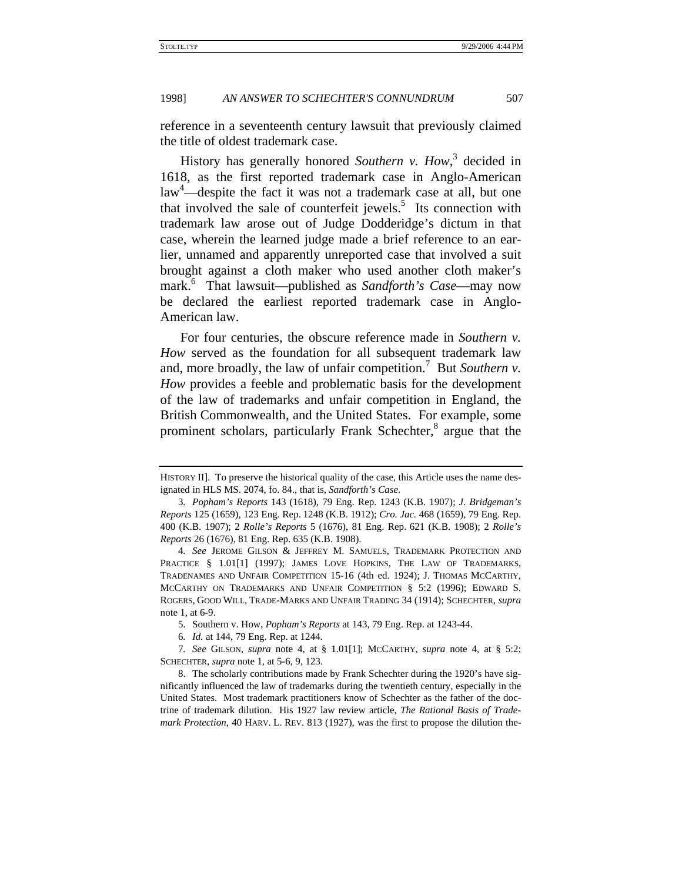reference in a seventeenth century lawsuit that previously claimed the title of oldest trademark case.

History has generally honored *Southern v. How*, 3 decided in 1618, as the first reported trademark case in Anglo-American law<sup>4</sup>—despite the fact it was not a trademark case at all, but one that involved the sale of counterfeit jewels.<sup>5</sup> Its connection with trademark law arose out of Judge Dodderidge's dictum in that case, wherein the learned judge made a brief reference to an earlier, unnamed and apparently unreported case that involved a suit brought against a cloth maker who used another cloth maker's mark.<sup>6</sup> That lawsuit—published as *Sandforth's Case*—may now be declared the earliest reported trademark case in Anglo-American law.

For four centuries, the obscure reference made in *Southern v. How* served as the foundation for all subsequent trademark law and, more broadly, the law of unfair competition.<sup>7</sup> But *Southern v*. *How* provides a feeble and problematic basis for the development of the law of trademarks and unfair competition in England, the British Commonwealth, and the United States. For example, some prominent scholars, particularly Frank Schechter,<sup>8</sup> argue that the

HISTORY II]. To preserve the historical quality of the case, this Article uses the name designated in HLS MS. 2074, fo. 84., that is, *Sandforth's Case*.

<sup>3</sup>*. Popham's Reports* 143 (1618), 79 Eng. Rep. 1243 (K.B. 1907); *J. Bridgeman's Reports* 125 (1659), 123 Eng. Rep. 1248 (K.B. 1912); *Cro. Jac.* 468 (1659), 79 Eng. Rep. 400 (K.B. 1907); 2 *Rolle's Reports* 5 (1676), 81 Eng. Rep. 621 (K.B. 1908); 2 *Rolle's Reports* 26 (1676), 81 Eng. Rep. 635 (K.B. 1908).

<sup>4</sup>*. See* JEROME GILSON & JEFFREY M. SAMUELS, TRADEMARK PROTECTION AND PRACTICE § 1.01<sup>[1]</sup> (1997); JAMES LOVE HOPKINS, THE LAW OF TRADEMARKS, TRADENAMES AND UNFAIR COMPETITION 15-16 (4th ed. 1924); J. THOMAS MCCARTHY, MCCARTHY ON TRADEMARKS AND UNFAIR COMPETITION § 5:2 (1996); EDWARD S. ROGERS, GOOD WILL, TRADE-MARKS AND UNFAIR TRADING 34 (1914); SCHECHTER, *supra* note 1, at 6-9.

<sup>5.</sup> Southern v. How, *Popham's Reports* at 143, 79 Eng. Rep. at 1243-44.

<sup>6</sup>*. Id.* at 144, 79 Eng. Rep. at 1244.

<sup>7</sup>*. See* GILSON, *supra* note 4, at § 1.01[1]; MCCARTHY, *supra* note 4, at § 5:2; SCHECHTER, *supra* note 1, at 5-6, 9, 123.

<sup>8.</sup> The scholarly contributions made by Frank Schechter during the 1920's have significantly influenced the law of trademarks during the twentieth century, especially in the United States. Most trademark practitioners know of Schechter as the father of the doctrine of trademark dilution. His 1927 law review article, *The Rational Basis of Trademark Protection*, 40 HARV. L. REV. 813 (1927), was the first to propose the dilution the-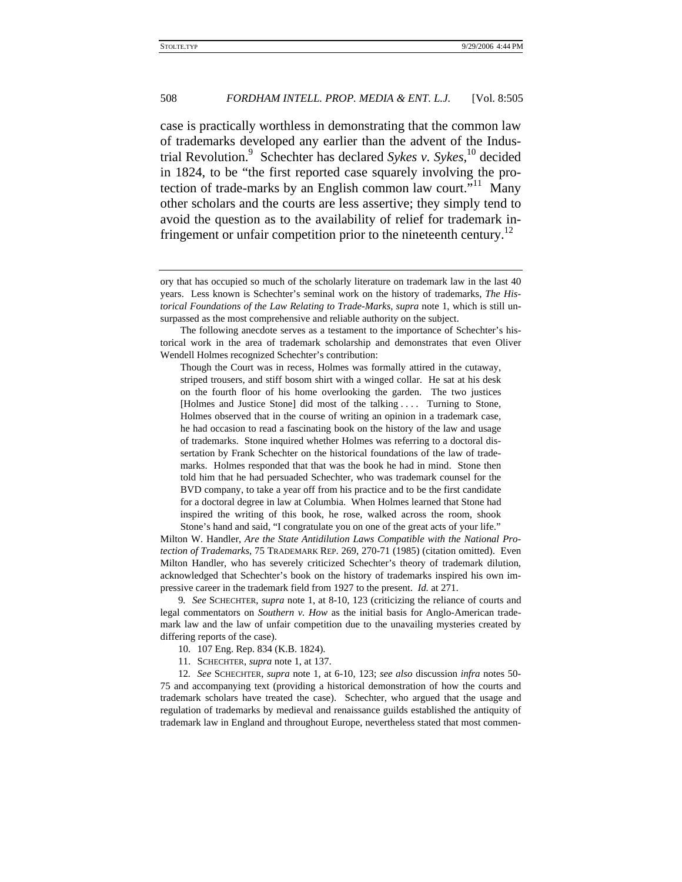case is practically worthless in demonstrating that the common law of trademarks developed any earlier than the advent of the Industrial Revolution.9 Schechter has declared *Sykes v. Sykes*, 10 decided in 1824, to be "the first reported case squarely involving the protection of trade-marks by an English common law court."<sup>11</sup> Many other scholars and the courts are less assertive; they simply tend to avoid the question as to the availability of relief for trademark infringement or unfair competition prior to the nineteenth century.<sup>12</sup>

Though the Court was in recess, Holmes was formally attired in the cutaway, striped trousers, and stiff bosom shirt with a winged collar. He sat at his desk on the fourth floor of his home overlooking the garden. The two justices [Holmes and Justice Stone] did most of the talking .... Turning to Stone, Holmes observed that in the course of writing an opinion in a trademark case, he had occasion to read a fascinating book on the history of the law and usage of trademarks. Stone inquired whether Holmes was referring to a doctoral dissertation by Frank Schechter on the historical foundations of the law of trademarks. Holmes responded that that was the book he had in mind. Stone then told him that he had persuaded Schechter, who was trademark counsel for the BVD company, to take a year off from his practice and to be the first candidate for a doctoral degree in law at Columbia. When Holmes learned that Stone had inspired the writing of this book, he rose, walked across the room, shook Stone's hand and said, "I congratulate you on one of the great acts of your life."

Milton W. Handler, *Are the State Antidilution Laws Compatible with the National Protection of Trademarks*, 75 TRADEMARK REP. 269, 270-71 (1985) (citation omitted). Even Milton Handler, who has severely criticized Schechter's theory of trademark dilution, acknowledged that Schechter's book on the history of trademarks inspired his own impressive career in the trademark field from 1927 to the present. *Id.* at 271.

9*. See* SCHECHTER, *supra* note 1, at 8-10, 123 (criticizing the reliance of courts and legal commentators on *Southern v. How* as the initial basis for Anglo-American trademark law and the law of unfair competition due to the unavailing mysteries created by differing reports of the case).

- 10. 107 Eng. Rep. 834 (K.B. 1824).
- 11. SCHECHTER, *supra* note 1, at 137.

12*. See* SCHECHTER, *supra* note 1, at 6-10, 123; *see also* discussion *infra* notes 50- 75 and accompanying text (providing a historical demonstration of how the courts and trademark scholars have treated the case). Schechter, who argued that the usage and regulation of trademarks by medieval and renaissance guilds established the antiquity of trademark law in England and throughout Europe, nevertheless stated that most commen-

ory that has occupied so much of the scholarly literature on trademark law in the last 40 years. Less known is Schechter's seminal work on the history of trademarks, *The Historical Foundations of the Law Relating to Trade-Marks*, *supra* note 1, which is still unsurpassed as the most comprehensive and reliable authority on the subject.

The following anecdote serves as a testament to the importance of Schechter's historical work in the area of trademark scholarship and demonstrates that even Oliver Wendell Holmes recognized Schechter's contribution: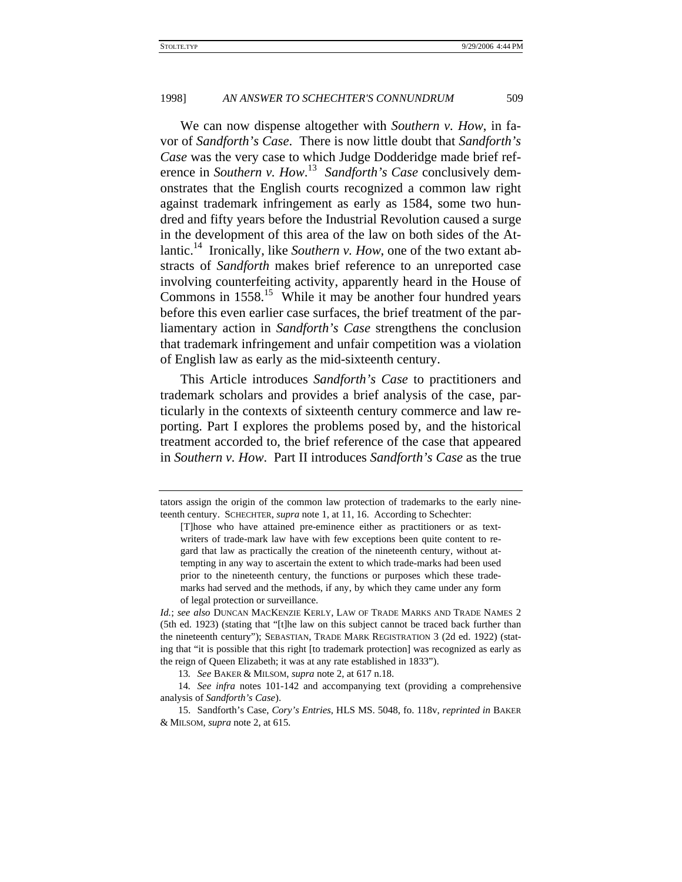We can now dispense altogether with *Southern v. How*, in favor of *Sandforth's Case*. There is now little doubt that *Sandforth's Case* was the very case to which Judge Dodderidge made brief reference in *Southern v. How*. 13 *Sandforth's Case* conclusively demonstrates that the English courts recognized a common law right against trademark infringement as early as 1584, some two hundred and fifty years before the Industrial Revolution caused a surge in the development of this area of the law on both sides of the Atlantic.<sup>14</sup> Ironically, like *Southern v. How*, one of the two extant abstracts of *Sandforth* makes brief reference to an unreported case involving counterfeiting activity, apparently heard in the House of Commons in  $1558$ .<sup>15</sup> While it may be another four hundred years before this even earlier case surfaces, the brief treatment of the parliamentary action in *Sandforth's Case* strengthens the conclusion that trademark infringement and unfair competition was a violation of English law as early as the mid-sixteenth century.

This Article introduces *Sandforth's Case* to practitioners and trademark scholars and provides a brief analysis of the case, particularly in the contexts of sixteenth century commerce and law reporting. Part I explores the problems posed by, and the historical treatment accorded to, the brief reference of the case that appeared in *Southern v. How*. Part II introduces *Sandforth's Case* as the true

tators assign the origin of the common law protection of trademarks to the early nineteenth century. SCHECHTER, *supra* note 1, at 11, 16. According to Schechter:

<sup>[</sup>T]hose who have attained pre-eminence either as practitioners or as textwriters of trade-mark law have with few exceptions been quite content to regard that law as practically the creation of the nineteenth century, without attempting in any way to ascertain the extent to which trade-marks had been used prior to the nineteenth century, the functions or purposes which these trademarks had served and the methods, if any, by which they came under any form of legal protection or surveillance.

*Id.*; *see also* DUNCAN MACKENZIE KERLY, LAW OF TRADE MARKS AND TRADE NAMES 2 (5th ed. 1923) (stating that "[t]he law on this subject cannot be traced back further than the nineteenth century"); SEBASTIAN, TRADE MARK REGISTRATION 3 (2d ed. 1922) (stating that "it is possible that this right [to trademark protection] was recognized as early as the reign of Queen Elizabeth; it was at any rate established in 1833").

<sup>13</sup>*. See* BAKER & MILSOM, *supra* note 2, at 617 n.18.

<sup>14</sup>*. See infra* notes 101-142 and accompanying text (providing a comprehensive analysis of *Sandforth's Case*).

<sup>15.</sup> Sandforth's Case, *Cory's Entries*, HLS MS. 5048, fo. 118v, *reprinted in* BAKER & MILSOM, *supra* note 2, at 615.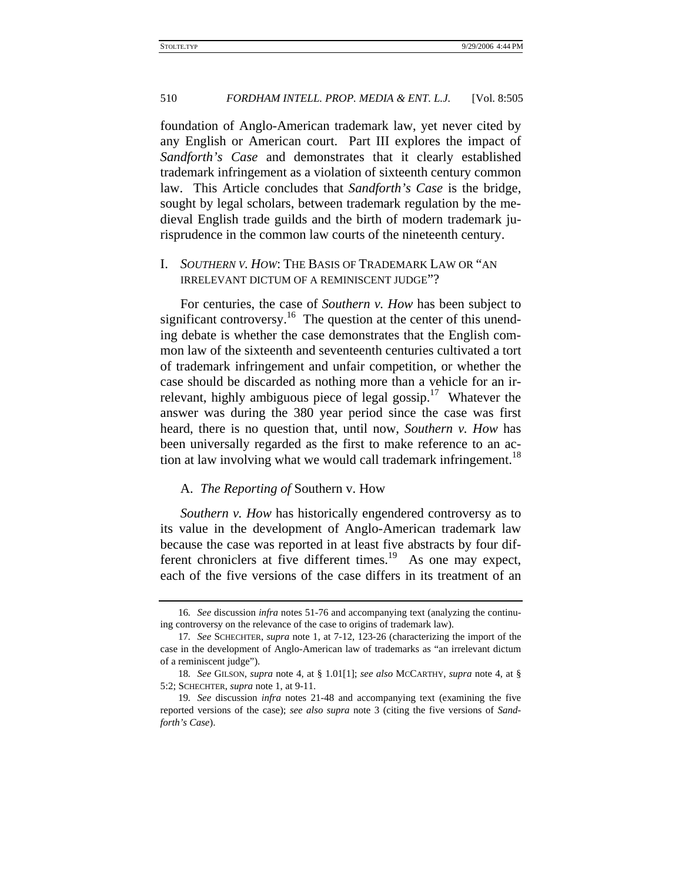foundation of Anglo-American trademark law, yet never cited by any English or American court. Part III explores the impact of *Sandforth's Case* and demonstrates that it clearly established trademark infringement as a violation of sixteenth century common law. This Article concludes that *Sandforth's Case* is the bridge, sought by legal scholars, between trademark regulation by the medieval English trade guilds and the birth of modern trademark jurisprudence in the common law courts of the nineteenth century.

# I. *SOUTHERN V. HOW*: THE BASIS OF TRADEMARK LAW OR "AN IRRELEVANT DICTUM OF A REMINISCENT JUDGE"?

For centuries, the case of *Southern v. How* has been subject to significant controversy.<sup>16</sup> The question at the center of this unending debate is whether the case demonstrates that the English common law of the sixteenth and seventeenth centuries cultivated a tort of trademark infringement and unfair competition, or whether the case should be discarded as nothing more than a vehicle for an irrelevant, highly ambiguous piece of legal gossip.<sup>17</sup> Whatever the answer was during the 380 year period since the case was first heard, there is no question that, until now, *Southern v. How* has been universally regarded as the first to make reference to an action at law involving what we would call trademark infringement.<sup>18</sup>

#### A. *The Reporting of* Southern v. How

*Southern v. How* has historically engendered controversy as to its value in the development of Anglo-American trademark law because the case was reported in at least five abstracts by four different chroniclers at five different times.<sup>19</sup> As one may expect, each of the five versions of the case differs in its treatment of an

<sup>16</sup>*. See* discussion *infra* notes 51-76 and accompanying text (analyzing the continuing controversy on the relevance of the case to origins of trademark law).

<sup>17</sup>*. See* SCHECHTER, *supra* note 1, at 7-12, 123-26 (characterizing the import of the case in the development of Anglo-American law of trademarks as "an irrelevant dictum of a reminiscent judge").

<sup>18</sup>*. See* GILSON, *supra* note 4, at § 1.01[1]; *see also* MCCARTHY, *supra* note 4, at § 5:2; SCHECHTER, *supra* note 1, at 9-11.

<sup>19</sup>*. See* discussion *infra* notes 21-48 and accompanying text (examining the five reported versions of the case); *see also supra* note 3 (citing the five versions of *Sandforth's Case*).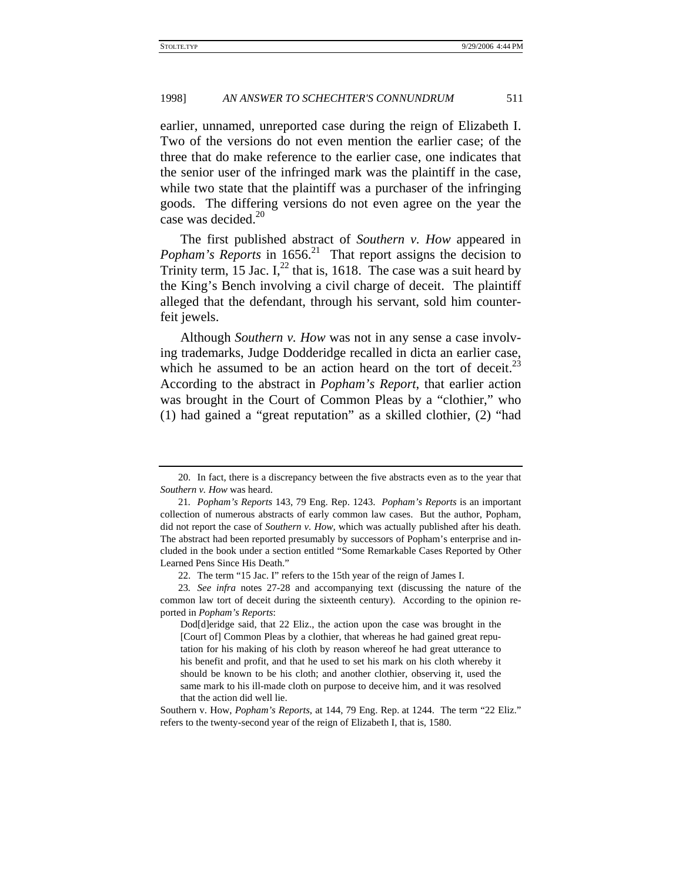earlier, unnamed, unreported case during the reign of Elizabeth I. Two of the versions do not even mention the earlier case; of the three that do make reference to the earlier case, one indicates that the senior user of the infringed mark was the plaintiff in the case, while two state that the plaintiff was a purchaser of the infringing goods. The differing versions do not even agree on the year the case was decided. $20$ 

The first published abstract of *Southern v. How* appeared in *Popham's Reports* in 1656.<sup>21</sup> That report assigns the decision to Trinity term, 15 Jac.  $I<sub>1</sub><sup>22</sup>$  that is, 1618. The case was a suit heard by the King's Bench involving a civil charge of deceit. The plaintiff alleged that the defendant, through his servant, sold him counterfeit jewels.

Although *Southern v. How* was not in any sense a case involving trademarks, Judge Dodderidge recalled in dicta an earlier case, which he assumed to be an action heard on the tort of deceit.<sup>23</sup> According to the abstract in *Popham's Report*, that earlier action was brought in the Court of Common Pleas by a "clothier," who (1) had gained a "great reputation" as a skilled clothier, (2) "had

<sup>20.</sup> In fact, there is a discrepancy between the five abstracts even as to the year that *Southern v. How* was heard.

<sup>21</sup>*. Popham's Reports* 143, 79 Eng. Rep. 1243. *Popham's Reports* is an important collection of numerous abstracts of early common law cases. But the author, Popham, did not report the case of *Southern v. How*, which was actually published after his death. The abstract had been reported presumably by successors of Popham's enterprise and included in the book under a section entitled "Some Remarkable Cases Reported by Other Learned Pens Since His Death."

<sup>22.</sup> The term "15 Jac. I" refers to the 15th year of the reign of James I.

<sup>23</sup>*. See infra* notes 27-28 and accompanying text (discussing the nature of the common law tort of deceit during the sixteenth century). According to the opinion reported in *Popham's Reports*:

Dod[d]eridge said, that 22 Eliz., the action upon the case was brought in the [Court of] Common Pleas by a clothier, that whereas he had gained great reputation for his making of his cloth by reason whereof he had great utterance to his benefit and profit, and that he used to set his mark on his cloth whereby it should be known to be his cloth; and another clothier, observing it, used the same mark to his ill-made cloth on purpose to deceive him, and it was resolved that the action did well lie.

Southern v. How, *Popham's Reports*, at 144, 79 Eng. Rep. at 1244. The term "22 Eliz." refers to the twenty-second year of the reign of Elizabeth I, that is, 1580.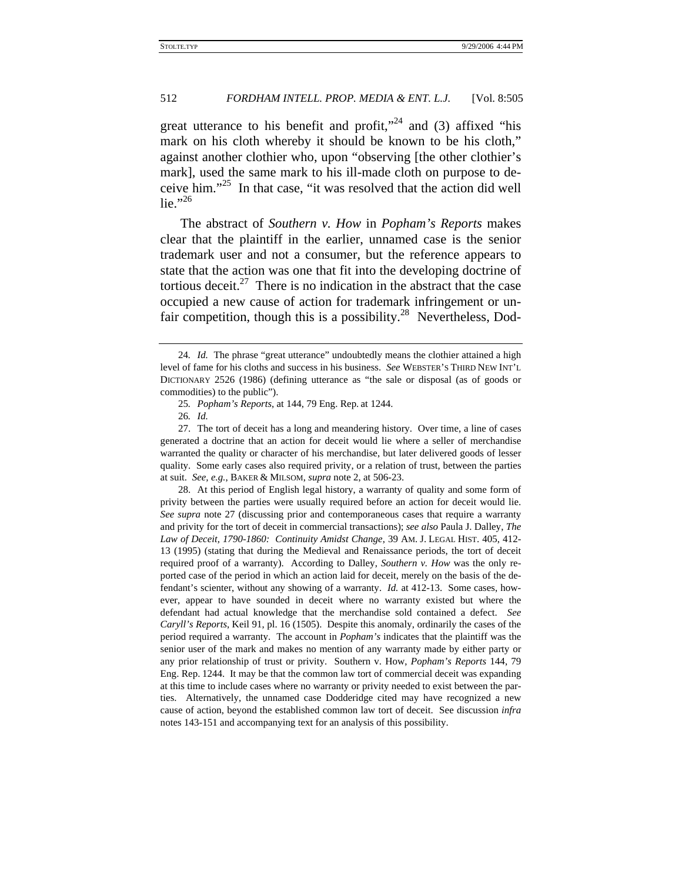great utterance to his benefit and profit,"<sup>24</sup> and (3) affixed "his mark on his cloth whereby it should be known to be his cloth," against another clothier who, upon "observing [the other clothier's mark], used the same mark to his ill-made cloth on purpose to deceive him."25 In that case, "it was resolved that the action did well lie." $^{,26}$ 

The abstract of *Southern v. How* in *Popham's Reports* makes clear that the plaintiff in the earlier, unnamed case is the senior trademark user and not a consumer, but the reference appears to state that the action was one that fit into the developing doctrine of tortious deceit. $27$  There is no indication in the abstract that the case occupied a new cause of action for trademark infringement or unfair competition, though this is a possibility.<sup>28</sup> Nevertheless, Dod-

28. At this period of English legal history, a warranty of quality and some form of privity between the parties were usually required before an action for deceit would lie. *See supra* note 27 (discussing prior and contemporaneous cases that require a warranty and privity for the tort of deceit in commercial transactions); *see also* Paula J. Dalley, *The Law of Deceit, 1790-1860: Continuity Amidst Change*, 39 AM. J. LEGAL HIST. 405, 412- 13 (1995) (stating that during the Medieval and Renaissance periods, the tort of deceit required proof of a warranty). According to Dalley, *Southern v. How* was the only reported case of the period in which an action laid for deceit, merely on the basis of the defendant's scienter, without any showing of a warranty. *Id.* at 412-13. Some cases, however, appear to have sounded in deceit where no warranty existed but where the defendant had actual knowledge that the merchandise sold contained a defect. *See Caryll's Reports*, Keil 91, pl. 16 (1505). Despite this anomaly, ordinarily the cases of the period required a warranty. The account in *Popham's* indicates that the plaintiff was the senior user of the mark and makes no mention of any warranty made by either party or any prior relationship of trust or privity. Southern v. How, *Popham's Reports* 144, 79 Eng. Rep. 1244. It may be that the common law tort of commercial deceit was expanding at this time to include cases where no warranty or privity needed to exist between the parties. Alternatively, the unnamed case Dodderidge cited may have recognized a new cause of action, beyond the established common law tort of deceit. See discussion *infra* notes 143-151 and accompanying text for an analysis of this possibility.

<sup>24</sup>*. Id.* The phrase "great utterance" undoubtedly means the clothier attained a high level of fame for his cloths and success in his business. *See* WEBSTER'S THIRD NEW INT'L DICTIONARY 2526 (1986) (defining utterance as "the sale or disposal (as of goods or commodities) to the public").

<sup>25</sup>*. Popham's Reports*, at 144, 79 Eng. Rep. at 1244.

<sup>26</sup>*. Id.*

<sup>27.</sup> The tort of deceit has a long and meandering history. Over time, a line of cases generated a doctrine that an action for deceit would lie where a seller of merchandise warranted the quality or character of his merchandise, but later delivered goods of lesser quality. Some early cases also required privity, or a relation of trust, between the parties at suit. *See, e.g.*, BAKER & MILSOM, *supra* note 2, at 506-23.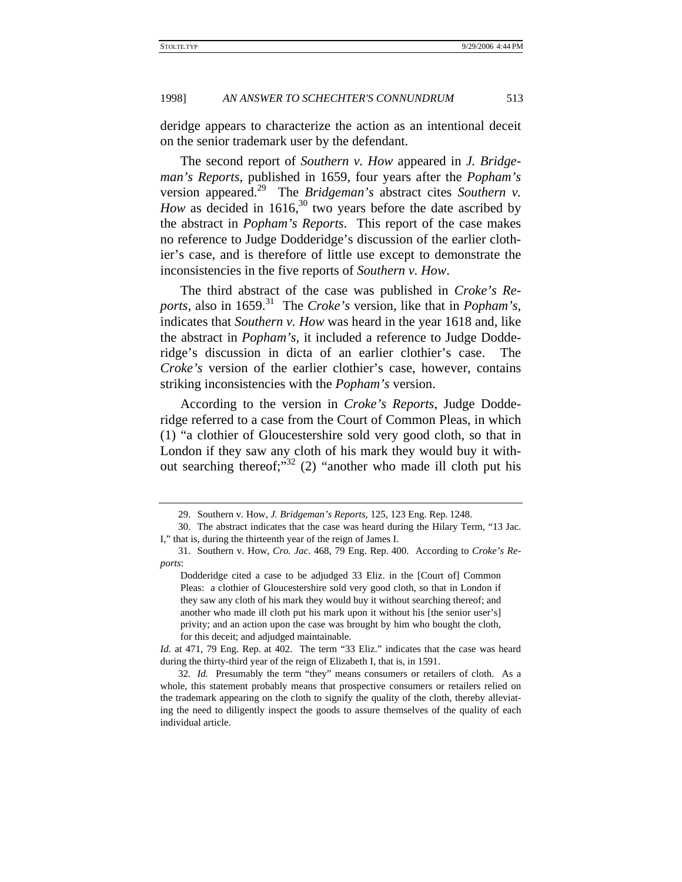deridge appears to characterize the action as an intentional deceit on the senior trademark user by the defendant.

The second report of *Southern v. How* appeared in *J. Bridgeman's Reports*, published in 1659, four years after the *Popham's* version appeared.<sup>29</sup> The *Bridgeman's* abstract cites *Southern v*. *How* as decided in 1616,<sup>30</sup> two years before the date ascribed by the abstract in *Popham's Reports*. This report of the case makes no reference to Judge Dodderidge's discussion of the earlier clothier's case, and is therefore of little use except to demonstrate the inconsistencies in the five reports of *Southern v. How*.

The third abstract of the case was published in *Croke's Reports*, also in 1659.31 The *Croke's* version, like that in *Popham's*, indicates that *Southern v. How* was heard in the year 1618 and, like the abstract in *Popham's*, it included a reference to Judge Dodderidge's discussion in dicta of an earlier clothier's case. The *Croke's* version of the earlier clothier's case, however, contains striking inconsistencies with the *Popham's* version.

According to the version in *Croke's Reports*, Judge Dodderidge referred to a case from the Court of Common Pleas, in which (1) "a clothier of Gloucestershire sold very good cloth, so that in London if they saw any cloth of his mark they would buy it without searching thereof;" $32$  (2) "another who made ill cloth put his

<sup>29.</sup> Southern v. How, *J. Bridgeman's Reports*, 125, 123 Eng. Rep. 1248.

<sup>30.</sup> The abstract indicates that the case was heard during the Hilary Term, "13 Jac. I," that is, during the thirteenth year of the reign of James I.

<sup>31.</sup> Southern v. How, *Cro. Jac.* 468, 79 Eng. Rep. 400. According to *Croke's Reports*:

Dodderidge cited a case to be adjudged 33 Eliz. in the [Court of] Common Pleas: a clothier of Gloucestershire sold very good cloth, so that in London if they saw any cloth of his mark they would buy it without searching thereof; and another who made ill cloth put his mark upon it without his [the senior user's] privity; and an action upon the case was brought by him who bought the cloth, for this deceit; and adjudged maintainable.

*Id.* at 471, 79 Eng. Rep. at 402. The term "33 Eliz." indicates that the case was heard during the thirty-third year of the reign of Elizabeth I, that is, in 1591.

<sup>32</sup>*. Id.* Presumably the term "they" means consumers or retailers of cloth. As a whole, this statement probably means that prospective consumers or retailers relied on the trademark appearing on the cloth to signify the quality of the cloth, thereby alleviating the need to diligently inspect the goods to assure themselves of the quality of each individual article.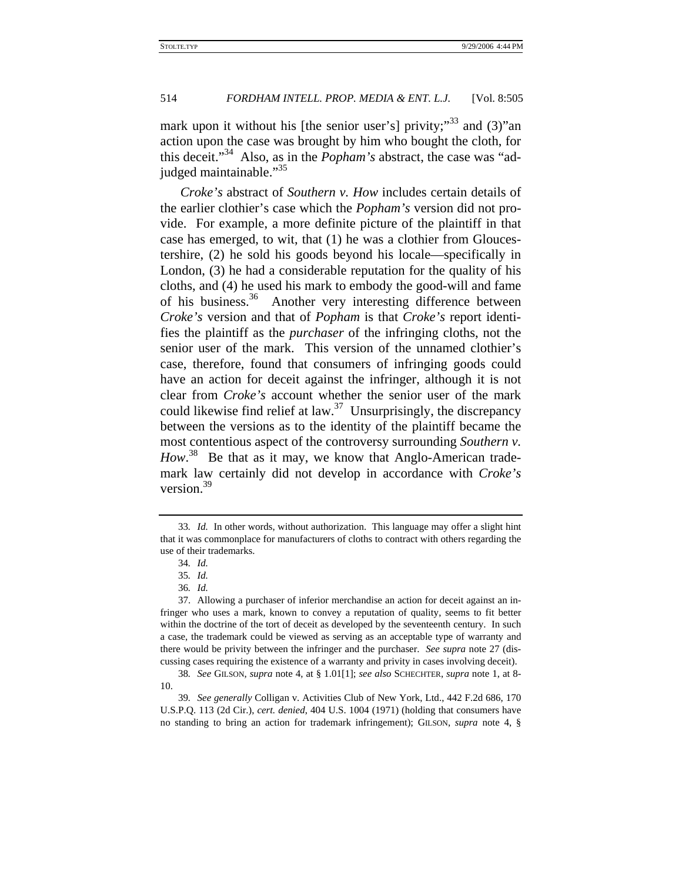mark upon it without his [the senior user's] privity; $33$  and (3)" and action upon the case was brought by him who bought the cloth, for this deceit."34 Also, as in the *Popham's* abstract, the case was "adjudged maintainable."<sup>35</sup>

*Croke's* abstract of *Southern v. How* includes certain details of the earlier clothier's case which the *Popham's* version did not provide. For example, a more definite picture of the plaintiff in that case has emerged, to wit, that (1) he was a clothier from Gloucestershire, (2) he sold his goods beyond his locale—specifically in London, (3) he had a considerable reputation for the quality of his cloths, and (4) he used his mark to embody the good-will and fame of his business.<sup>36</sup> Another very interesting difference between *Croke's* version and that of *Popham* is that *Croke's* report identifies the plaintiff as the *purchaser* of the infringing cloths, not the senior user of the mark. This version of the unnamed clothier's case, therefore, found that consumers of infringing goods could have an action for deceit against the infringer, although it is not clear from *Croke's* account whether the senior user of the mark could likewise find relief at law.<sup>37</sup> Unsurprisingly, the discrepancy between the versions as to the identity of the plaintiff became the most contentious aspect of the controversy surrounding *Southern v.*  How.<sup>38</sup> Be that as it may, we know that Anglo-American trademark law certainly did not develop in accordance with *Croke's* version.<sup>39</sup>

<sup>33</sup>*. Id.* In other words, without authorization. This language may offer a slight hint that it was commonplace for manufacturers of cloths to contract with others regarding the use of their trademarks.

<sup>34</sup>*. Id.*

<sup>35</sup>*. Id.*

<sup>36</sup>*. Id.*

<sup>37.</sup> Allowing a purchaser of inferior merchandise an action for deceit against an infringer who uses a mark, known to convey a reputation of quality, seems to fit better within the doctrine of the tort of deceit as developed by the seventeenth century. In such a case, the trademark could be viewed as serving as an acceptable type of warranty and there would be privity between the infringer and the purchaser. *See supra* note 27 (discussing cases requiring the existence of a warranty and privity in cases involving deceit).

<sup>38</sup>*. See* GILSON, *supra* note 4, at § 1.01[1]; *see also* SCHECHTER, *supra* note 1, at 8- 10.

<sup>39</sup>*. See generally* Colligan v. Activities Club of New York, Ltd., 442 F.2d 686, 170 U.S.P.Q. 113 (2d Cir.), *cert. denied*, 404 U.S. 1004 (1971) (holding that consumers have no standing to bring an action for trademark infringement); GILSON, *supra* note 4, §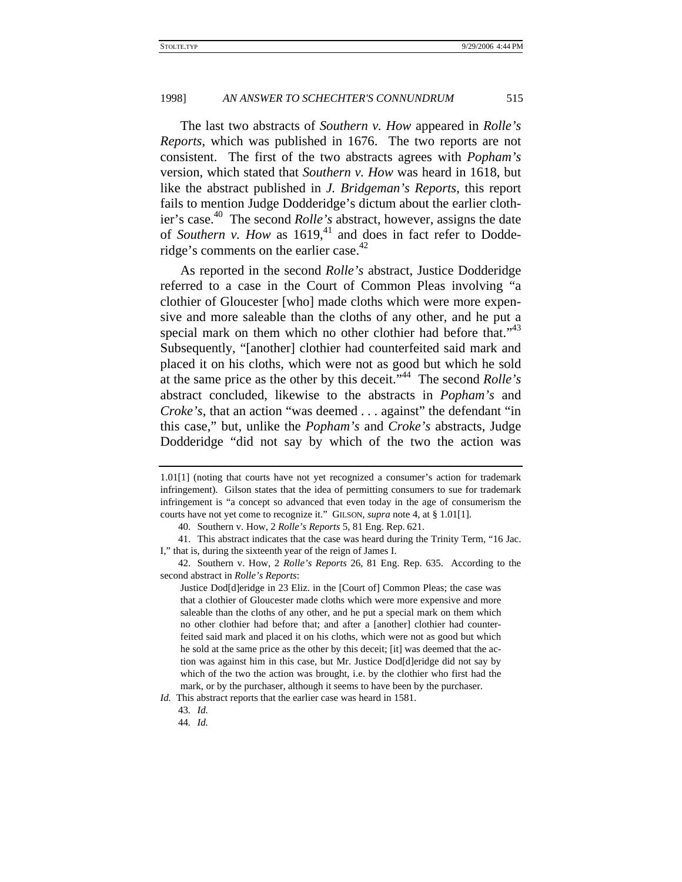The last two abstracts of *Southern v. How* appeared in *Rolle's Reports*, which was published in 1676. The two reports are not consistent. The first of the two abstracts agrees with *Popham's* version, which stated that *Southern v. How* was heard in 1618, but like the abstract published in *J. Bridgeman's Reports*, this report fails to mention Judge Dodderidge's dictum about the earlier clothier's case.40 The second *Rolle's* abstract, however, assigns the date of *Southern v. How* as 1619,<sup>41</sup> and does in fact refer to Dodderidge's comments on the earlier case. $42$ 

As reported in the second *Rolle's* abstract, Justice Dodderidge referred to a case in the Court of Common Pleas involving "a clothier of Gloucester [who] made cloths which were more expensive and more saleable than the cloths of any other, and he put a special mark on them which no other clothier had before that."<sup>43</sup> Subsequently, "[another] clothier had counterfeited said mark and placed it on his cloths, which were not as good but which he sold at the same price as the other by this deceit."44 The second *Rolle's* abstract concluded, likewise to the abstracts in *Popham's* and *Croke's*, that an action "was deemed . . . against" the defendant "in this case," but, unlike the *Popham's* and *Croke's* abstracts, Judge Dodderidge "did not say by which of the two the action was

<sup>1.01[1] (</sup>noting that courts have not yet recognized a consumer's action for trademark infringement). Gilson states that the idea of permitting consumers to sue for trademark infringement is "a concept so advanced that even today in the age of consumerism the courts have not yet come to recognize it." GILSON, *supra* note 4, at § 1.01[1].

<sup>40.</sup> Southern v. How, 2 *Rolle's Reports* 5, 81 Eng. Rep. 621.

<sup>41.</sup> This abstract indicates that the case was heard during the Trinity Term, "16 Jac. I," that is, during the sixteenth year of the reign of James I.

<sup>42.</sup> Southern v. How, 2 *Rolle's Reports* 26, 81 Eng. Rep. 635. According to the second abstract in *Rolle's Reports*:

Justice Dod[d]eridge in 23 Eliz. in the [Court of] Common Pleas; the case was that a clothier of Gloucester made cloths which were more expensive and more saleable than the cloths of any other, and he put a special mark on them which no other clothier had before that; and after a [another] clothier had counterfeited said mark and placed it on his cloths, which were not as good but which he sold at the same price as the other by this deceit; [it] was deemed that the action was against him in this case, but Mr. Justice Dod[d]eridge did not say by which of the two the action was brought, i.e. by the clothier who first had the mark, or by the purchaser, although it seems to have been by the purchaser.

*Id.* This abstract reports that the earlier case was heard in 1581.

<sup>43</sup>*. Id.*

<sup>44</sup>*. Id.*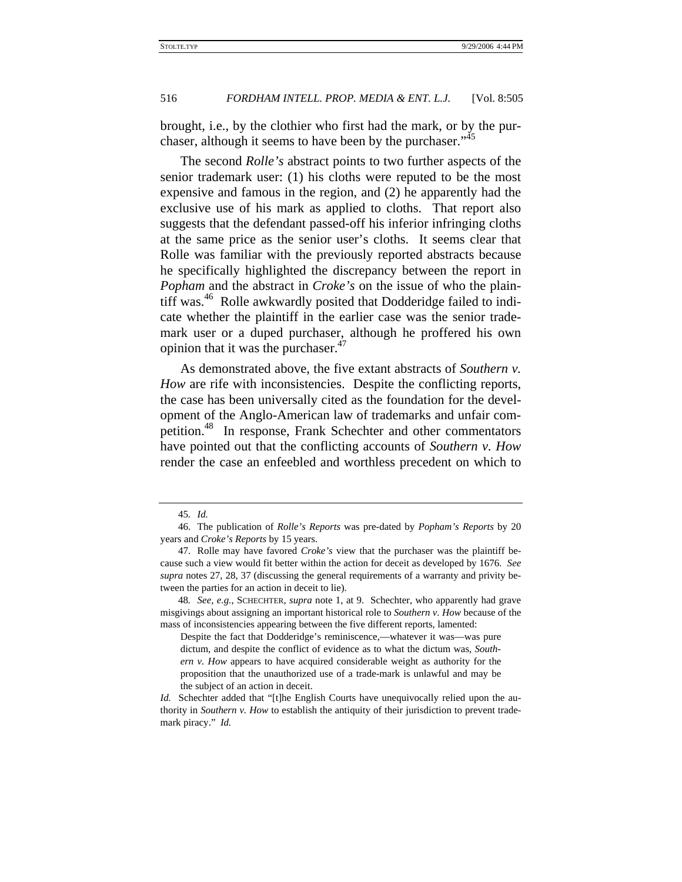brought, i.e., by the clothier who first had the mark, or by the purchaser, although it seems to have been by the purchaser."<sup>45</sup>

The second *Rolle's* abstract points to two further aspects of the senior trademark user: (1) his cloths were reputed to be the most expensive and famous in the region, and (2) he apparently had the exclusive use of his mark as applied to cloths. That report also suggests that the defendant passed-off his inferior infringing cloths at the same price as the senior user's cloths. It seems clear that Rolle was familiar with the previously reported abstracts because he specifically highlighted the discrepancy between the report in *Popham* and the abstract in *Croke's* on the issue of who the plaintiff was.<sup>46</sup> Rolle awkwardly posited that Dodderidge failed to indicate whether the plaintiff in the earlier case was the senior trademark user or a duped purchaser, although he proffered his own opinion that it was the purchaser. $47$ 

As demonstrated above, the five extant abstracts of *Southern v. How* are rife with inconsistencies. Despite the conflicting reports, the case has been universally cited as the foundation for the development of the Anglo-American law of trademarks and unfair competition.<sup>48</sup> In response, Frank Schechter and other commentators have pointed out that the conflicting accounts of *Southern v. How* render the case an enfeebled and worthless precedent on which to

<sup>45</sup>*. Id.*

<sup>46.</sup> The publication of *Rolle's Reports* was pre-dated by *Popham's Reports* by 20 years and *Croke's Reports* by 15 years.

<sup>47.</sup> Rolle may have favored *Croke's* view that the purchaser was the plaintiff because such a view would fit better within the action for deceit as developed by 1676. *See supra* notes 27, 28, 37 (discussing the general requirements of a warranty and privity between the parties for an action in deceit to lie).

<sup>48</sup>*. See, e.g.*, SCHECHTER, *supra* note 1, at 9. Schechter, who apparently had grave misgivings about assigning an important historical role to *Southern v. How* because of the mass of inconsistencies appearing between the five different reports, lamented:

Despite the fact that Dodderidge's reminiscence,—whatever it was—was pure dictum, and despite the conflict of evidence as to what the dictum was, *Southern v. How* appears to have acquired considerable weight as authority for the proposition that the unauthorized use of a trade-mark is unlawful and may be the subject of an action in deceit.

*Id.* Schechter added that "[t]he English Courts have unequivocally relied upon the authority in *Southern v. How* to establish the antiquity of their jurisdiction to prevent trademark piracy." *Id.*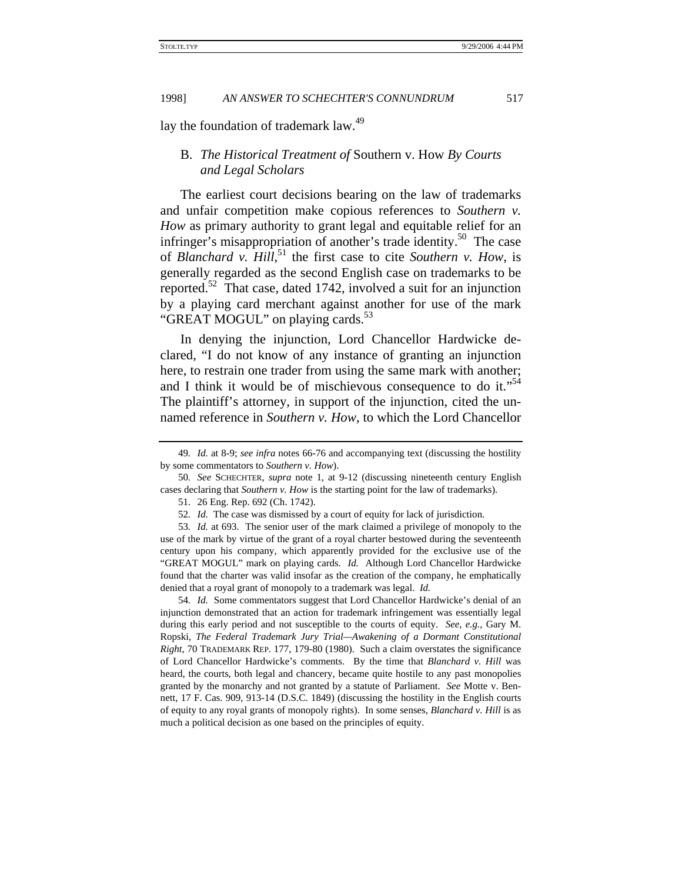lay the foundation of trademark law.<sup>49</sup>

# B. *The Historical Treatment of* Southern v. How *By Courts and Legal Scholars*

The earliest court decisions bearing on the law of trademarks and unfair competition make copious references to *Southern v. How* as primary authority to grant legal and equitable relief for an infringer's misappropriation of another's trade identity.<sup>50</sup> The case of *Blanchard v. Hill*, 51 the first case to cite *Southern v. How*, is generally regarded as the second English case on trademarks to be reported.<sup>52</sup> That case, dated 1742, involved a suit for an injunction by a playing card merchant against another for use of the mark "GREAT MOGUL" on playing cards. $53$ 

In denying the injunction, Lord Chancellor Hardwicke declared, "I do not know of any instance of granting an injunction here, to restrain one trader from using the same mark with another; and I think it would be of mischievous consequence to do it."<sup>54</sup> The plaintiff's attorney, in support of the injunction, cited the unnamed reference in *Southern v. How*, to which the Lord Chancellor

54*. Id.* Some commentators suggest that Lord Chancellor Hardwicke's denial of an injunction demonstrated that an action for trademark infringement was essentially legal during this early period and not susceptible to the courts of equity. *See, e.g.*, Gary M. Ropski, *The Federal Trademark Jury Trial—Awakening of a Dormant Constitutional Right*, 70 TRADEMARK REP. 177, 179-80 (1980). Such a claim overstates the significance of Lord Chancellor Hardwicke's comments. By the time that *Blanchard v. Hill* was heard, the courts, both legal and chancery, became quite hostile to any past monopolies granted by the monarchy and not granted by a statute of Parliament. *See* Motte v. Bennett, 17 F. Cas. 909, 913-14 (D.S.C. 1849) (discussing the hostility in the English courts of equity to any royal grants of monopoly rights). In some senses, *Blanchard v. Hill* is as much a political decision as one based on the principles of equity.

<sup>49</sup>*. Id.* at 8-9; *see infra* notes 66-76 and accompanying text (discussing the hostility by some commentators to *Southern v. How*).

<sup>50</sup>*. See* SCHECHTER, *supra* note 1, at 9-12 (discussing nineteenth century English cases declaring that *Southern v. How* is the starting point for the law of trademarks).

<sup>51. 26</sup> Eng. Rep. 692 (Ch. 1742).

<sup>52</sup>*. Id.* The case was dismissed by a court of equity for lack of jurisdiction.

<sup>53</sup>*. Id.* at 693. The senior user of the mark claimed a privilege of monopoly to the use of the mark by virtue of the grant of a royal charter bestowed during the seventeenth century upon his company, which apparently provided for the exclusive use of the "GREAT MOGUL" mark on playing cards. *Id.* Although Lord Chancellor Hardwicke found that the charter was valid insofar as the creation of the company, he emphatically denied that a royal grant of monopoly to a trademark was legal. *Id.*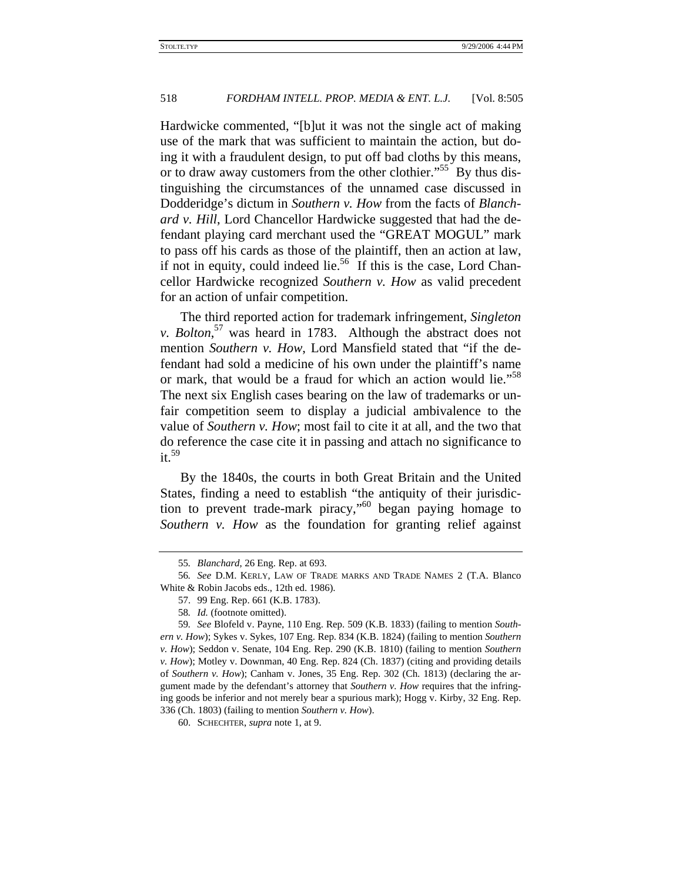Hardwicke commented, "[b]ut it was not the single act of making use of the mark that was sufficient to maintain the action, but doing it with a fraudulent design, to put off bad cloths by this means, or to draw away customers from the other clothier."<sup>55</sup> By thus distinguishing the circumstances of the unnamed case discussed in Dodderidge's dictum in *Southern v. How* from the facts of *Blanchard v. Hill*, Lord Chancellor Hardwicke suggested that had the defendant playing card merchant used the "GREAT MOGUL" mark to pass off his cards as those of the plaintiff, then an action at law, if not in equity, could indeed lie.<sup>56</sup> If this is the case, Lord Chancellor Hardwicke recognized *Southern v. How* as valid precedent for an action of unfair competition.

The third reported action for trademark infringement, *Singleton v. Bolton*, 57 was heard in 1783. Although the abstract does not mention *Southern v. How*, Lord Mansfield stated that "if the defendant had sold a medicine of his own under the plaintiff's name or mark, that would be a fraud for which an action would lie."<sup>58</sup> The next six English cases bearing on the law of trademarks or unfair competition seem to display a judicial ambivalence to the value of *Southern v. How*; most fail to cite it at all, and the two that do reference the case cite it in passing and attach no significance to  $it.<sup>59</sup>$ 

By the 1840s, the courts in both Great Britain and the United States, finding a need to establish "the antiquity of their jurisdiction to prevent trade-mark piracy,"60 began paying homage to *Southern v. How* as the foundation for granting relief against

<sup>55</sup>*. Blanchard*, 26 Eng. Rep. at 693.

<sup>56</sup>*. See* D.M. KERLY, LAW OF TRADE MARKS AND TRADE NAMES 2 (T.A. Blanco White & Robin Jacobs eds., 12th ed. 1986).

<sup>57. 99</sup> Eng. Rep. 661 (K.B. 1783).

<sup>58</sup>*. Id.* (footnote omitted).

<sup>59</sup>*. See* Blofeld v. Payne, 110 Eng. Rep. 509 (K.B. 1833) (failing to mention *Southern v. How*); Sykes v. Sykes, 107 Eng. Rep. 834 (K.B. 1824) (failing to mention *Southern v. How*); Seddon v. Senate, 104 Eng. Rep. 290 (K.B. 1810) (failing to mention *Southern v. How*); Motley v. Downman, 40 Eng. Rep. 824 (Ch. 1837) (citing and providing details of *Southern v. How*); Canham v. Jones, 35 Eng. Rep. 302 (Ch. 1813) (declaring the argument made by the defendant's attorney that *Southern v. How* requires that the infringing goods be inferior and not merely bear a spurious mark); Hogg v. Kirby, 32 Eng. Rep. 336 (Ch. 1803) (failing to mention *Southern v. How*).

<sup>60.</sup> SCHECHTER, *supra* note 1, at 9.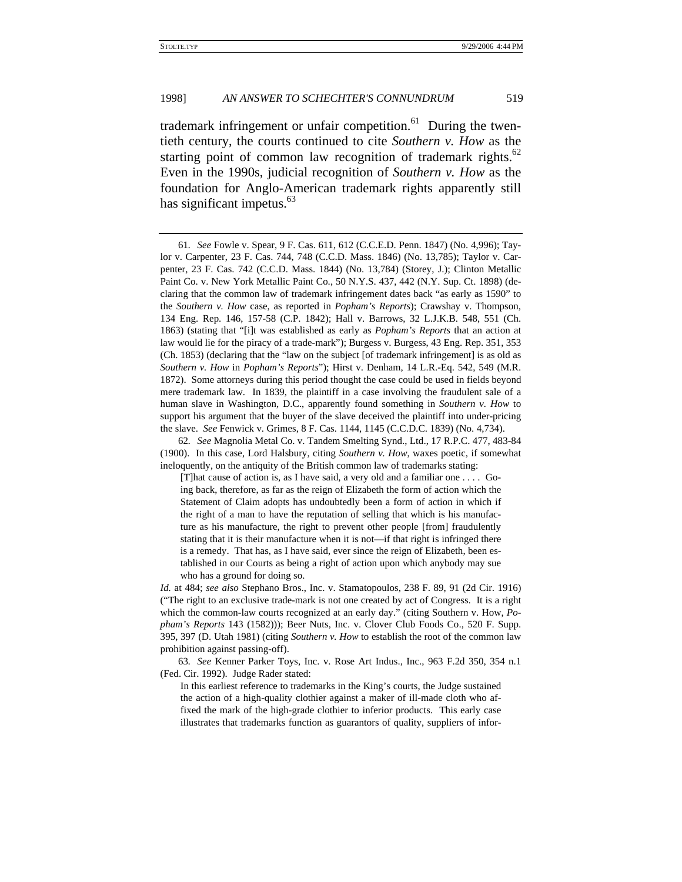trademark infringement or unfair competition.<sup>61</sup> During the twentieth century, the courts continued to cite *Southern v. How* as the starting point of common law recognition of trademark rights. $62$ Even in the 1990s, judicial recognition of *Southern v. How* as the foundation for Anglo-American trademark rights apparently still has significant impetus. $63$ 

<sup>61</sup>*. See* Fowle v. Spear, 9 F. Cas. 611, 612 (C.C.E.D. Penn. 1847) (No. 4,996); Taylor v. Carpenter, 23 F. Cas. 744, 748 (C.C.D. Mass. 1846) (No. 13,785); Taylor v. Carpenter, 23 F. Cas. 742 (C.C.D. Mass. 1844) (No. 13,784) (Storey, J.); Clinton Metallic Paint Co. v. New York Metallic Paint Co., 50 N.Y.S. 437, 442 (N.Y. Sup. Ct. 1898) (declaring that the common law of trademark infringement dates back "as early as 1590" to the *Southern v. How* case, as reported in *Popham's Reports*); Crawshay v. Thompson, 134 Eng. Rep. 146, 157-58 (C.P. 1842); Hall v. Barrows, 32 L.J.K.B. 548, 551 (Ch. 1863) (stating that "[i]t was established as early as *Popham's Reports* that an action at law would lie for the piracy of a trade-mark"); Burgess v. Burgess, 43 Eng. Rep. 351, 353 (Ch. 1853) (declaring that the "law on the subject [of trademark infringement] is as old as *Southern v. How* in *Popham's Reports*"); Hirst v. Denham, 14 L.R.-Eq. 542, 549 (M.R. 1872). Some attorneys during this period thought the case could be used in fields beyond mere trademark law. In 1839, the plaintiff in a case involving the fraudulent sale of a human slave in Washington, D.C., apparently found something in *Southern v. How* to support his argument that the buyer of the slave deceived the plaintiff into under-pricing the slave. *See* Fenwick v. Grimes, 8 F. Cas. 1144, 1145 (C.C.D.C. 1839) (No. 4,734).

<sup>62</sup>*. See* Magnolia Metal Co. v. Tandem Smelting Synd., Ltd., 17 R.P.C. 477, 483-84 (1900). In this case, Lord Halsbury, citing *Southern v. How*, waxes poetic, if somewhat ineloquently, on the antiquity of the British common law of trademarks stating:

<sup>[</sup>T]hat cause of action is, as I have said, a very old and a familiar one . . . . Going back, therefore, as far as the reign of Elizabeth the form of action which the Statement of Claim adopts has undoubtedly been a form of action in which if the right of a man to have the reputation of selling that which is his manufacture as his manufacture, the right to prevent other people [from] fraudulently stating that it is their manufacture when it is not—if that right is infringed there is a remedy. That has, as I have said, ever since the reign of Elizabeth, been established in our Courts as being a right of action upon which anybody may sue who has a ground for doing so.

*Id.* at 484; *see also* Stephano Bros., Inc. v. Stamatopoulos, 238 F. 89, 91 (2d Cir. 1916) ("The right to an exclusive trade-mark is not one created by act of Congress. It is a right which the common-law courts recognized at an early day." (citing Southern v. How, *Popham's Reports* 143 (1582))); Beer Nuts, Inc. v. Clover Club Foods Co., 520 F. Supp. 395, 397 (D. Utah 1981) (citing *Southern v. How* to establish the root of the common law prohibition against passing-off).

<sup>63</sup>*. See* Kenner Parker Toys, Inc. v. Rose Art Indus., Inc., 963 F.2d 350, 354 n.1 (Fed. Cir. 1992). Judge Rader stated:

In this earliest reference to trademarks in the King's courts, the Judge sustained the action of a high-quality clothier against a maker of ill-made cloth who affixed the mark of the high-grade clothier to inferior products. This early case illustrates that trademarks function as guarantors of quality, suppliers of infor-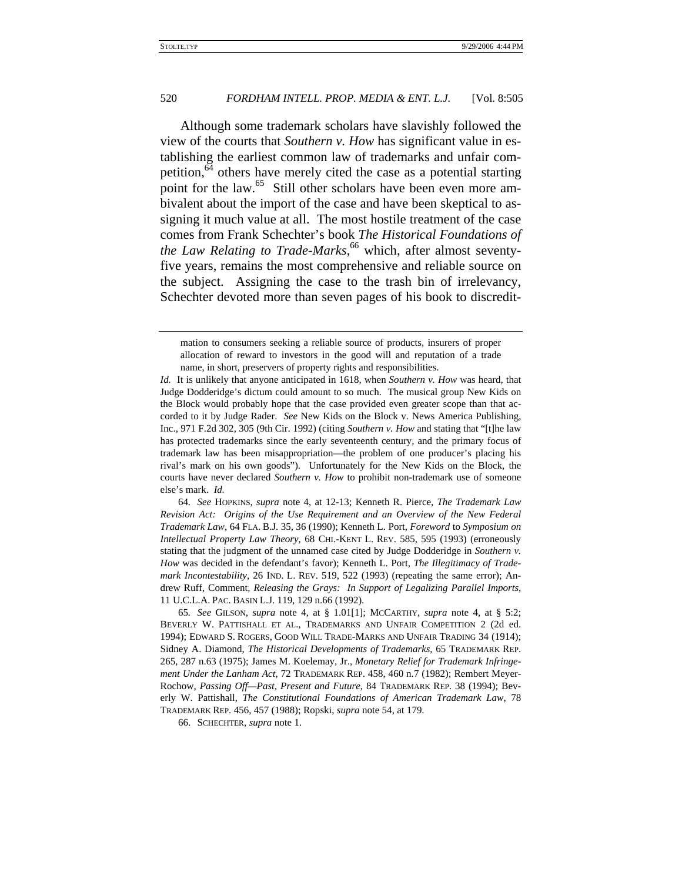Although some trademark scholars have slavishly followed the view of the courts that *Southern v. How* has significant value in establishing the earliest common law of trademarks and unfair competition,<sup>64</sup> others have merely cited the case as a potential starting point for the law.<sup>65</sup> Still other scholars have been even more ambivalent about the import of the case and have been skeptical to assigning it much value at all. The most hostile treatment of the case comes from Frank Schechter's book *The Historical Foundations of the Law Relating to Trade-Marks*, 66 which, after almost seventyfive years, remains the most comprehensive and reliable source on the subject. Assigning the case to the trash bin of irrelevancy, Schechter devoted more than seven pages of his book to discredit-

64*. See* HOPKINS, *supra* note 4, at 12-13; Kenneth R. Pierce, *The Trademark Law Revision Act: Origins of the Use Requirement and an Overview of the New Federal Trademark Law*, 64 FLA. B.J. 35, 36 (1990); Kenneth L. Port, *Foreword* to *Symposium on Intellectual Property Law Theory*, 68 CHI.-KENT L. REV. 585, 595 (1993) (erroneously stating that the judgment of the unnamed case cited by Judge Dodderidge in *Southern v. How* was decided in the defendant's favor); Kenneth L. Port, *The Illegitimacy of Trademark Incontestability*, 26 IND. L. REV. 519, 522 (1993) (repeating the same error); Andrew Ruff, Comment, *Releasing the Grays: In Support of Legalizing Parallel Imports*, 11 U.C.L.A. PAC. BASIN L.J. 119, 129 n.66 (1992).

65*. See* GILSON, *supra* note 4, at § 1.01[1]; MCCARTHY, *supra* note 4, at § 5:2; BEVERLY W. PATTISHALL ET AL., TRADEMARKS AND UNFAIR COMPETITION 2 (2d ed. 1994); EDWARD S. ROGERS, GOOD WILL TRADE-MARKS AND UNFAIR TRADING 34 (1914); Sidney A. Diamond, *The Historical Developments of Trademarks*, 65 TRADEMARK REP. 265, 287 n.63 (1975); James M. Koelemay, Jr., *Monetary Relief for Trademark Infringement Under the Lanham Act*, 72 TRADEMARK REP. 458, 460 n.7 (1982); Rembert Meyer-Rochow, *Passing Off—Past, Present and Future*, 84 TRADEMARK REP. 38 (1994); Beverly W. Pattishall, *The Constitutional Foundations of American Trademark Law*, 78 TRADEMARK REP. 456, 457 (1988); Ropski, *supra* note 54, at 179.

66. SCHECHTER, *supra* note 1.

mation to consumers seeking a reliable source of products, insurers of proper allocation of reward to investors in the good will and reputation of a trade name, in short, preservers of property rights and responsibilities.

*Id.* It is unlikely that anyone anticipated in 1618, when *Southern v. How* was heard, that Judge Dodderidge's dictum could amount to so much. The musical group New Kids on the Block would probably hope that the case provided even greater scope than that accorded to it by Judge Rader. *See* New Kids on the Block v. News America Publishing, Inc., 971 F.2d 302, 305 (9th Cir. 1992) (citing *Southern v. How* and stating that "[t]he law has protected trademarks since the early seventeenth century, and the primary focus of trademark law has been misappropriation—the problem of one producer's placing his rival's mark on his own goods"). Unfortunately for the New Kids on the Block, the courts have never declared *Southern v. How* to prohibit non-trademark use of someone else's mark. *Id.*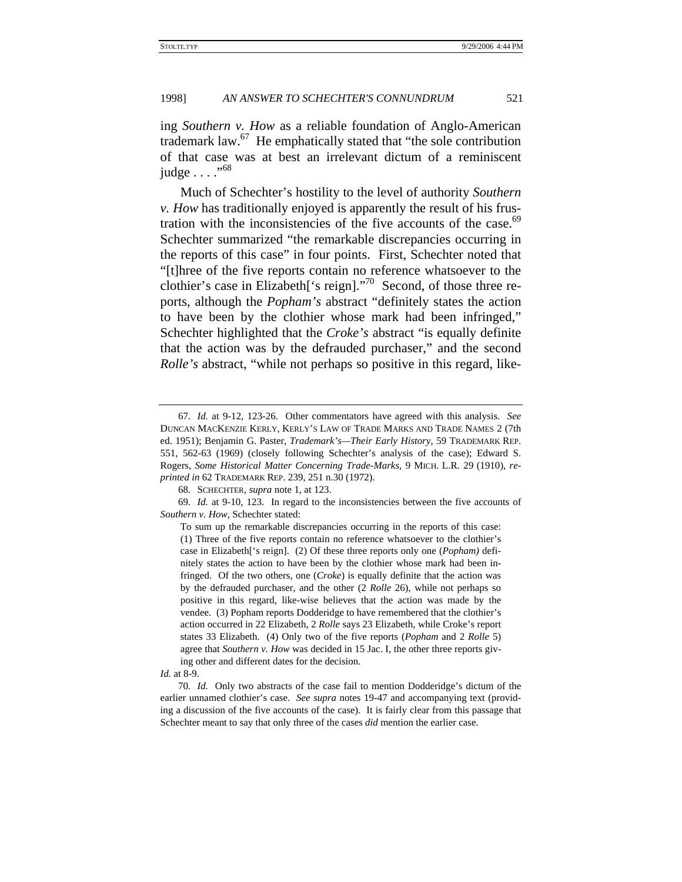ing *Southern v. How* as a reliable foundation of Anglo-American trademark law.67 He emphatically stated that "the sole contribution of that case was at best an irrelevant dictum of a reminiscent judge  $\ldots$ ."<sup>68</sup>

Much of Schechter's hostility to the level of authority *Southern v. How* has traditionally enjoyed is apparently the result of his frustration with the inconsistencies of the five accounts of the case.<sup>69</sup> Schechter summarized "the remarkable discrepancies occurring in the reports of this case" in four points. First, Schechter noted that "[t]hree of the five reports contain no reference whatsoever to the clothier's case in Elizabeth['s reign]."<sup>70</sup> Second, of those three reports, although the *Popham's* abstract "definitely states the action to have been by the clothier whose mark had been infringed," Schechter highlighted that the *Croke's* abstract "is equally definite that the action was by the defrauded purchaser," and the second *Rolle's* abstract, "while not perhaps so positive in this regard, like-

<sup>67</sup>*. Id.* at 9-12, 123-26. Other commentators have agreed with this analysis. *See* DUNCAN MACKENZIE KERLY, KERLY'S LAW OF TRADE MARKS AND TRADE NAMES 2 (7th ed. 1951); Benjamin G. Paster, *Trademark's—Their Early History*, 59 TRADEMARK REP. 551, 562-63 (1969) (closely following Schechter's analysis of the case); Edward S. Rogers, *Some Historical Matter Concerning Trade-Marks*, 9 MICH. L.R. 29 (1910), *reprinted in* 62 TRADEMARK REP. 239, 251 n.30 (1972).

<sup>68.</sup> SCHECHTER, *supra* note 1, at 123.

<sup>69</sup>*. Id.* at 9-10, 123. In regard to the inconsistencies between the five accounts of *Southern v. How*, Schechter stated:

To sum up the remarkable discrepancies occurring in the reports of this case: (1) Three of the five reports contain no reference whatsoever to the clothier's case in Elizabeth['s reign]. (2) Of these three reports only one (*Popham)* definitely states the action to have been by the clothier whose mark had been infringed. Of the two others, one (*Croke*) is equally definite that the action was by the defrauded purchaser, and the other (2 *Rolle* 26), while not perhaps so positive in this regard, like-wise believes that the action was made by the vendee. (3) Popham reports Dodderidge to have remembered that the clothier's action occurred in 22 Elizabeth, 2 *Rolle* says 23 Elizabeth, while Croke's report states 33 Elizabeth. (4) Only two of the five reports (*Popham* and 2 *Rolle* 5) agree that *Southern v. How* was decided in 15 Jac. I, the other three reports giving other and different dates for the decision.

*Id.* at 8-9.

<sup>70</sup>*. Id.* Only two abstracts of the case fail to mention Dodderidge's dictum of the earlier unnamed clothier's case. *See supra* notes 19-47 and accompanying text (providing a discussion of the five accounts of the case). It is fairly clear from this passage that Schechter meant to say that only three of the cases *did* mention the earlier case.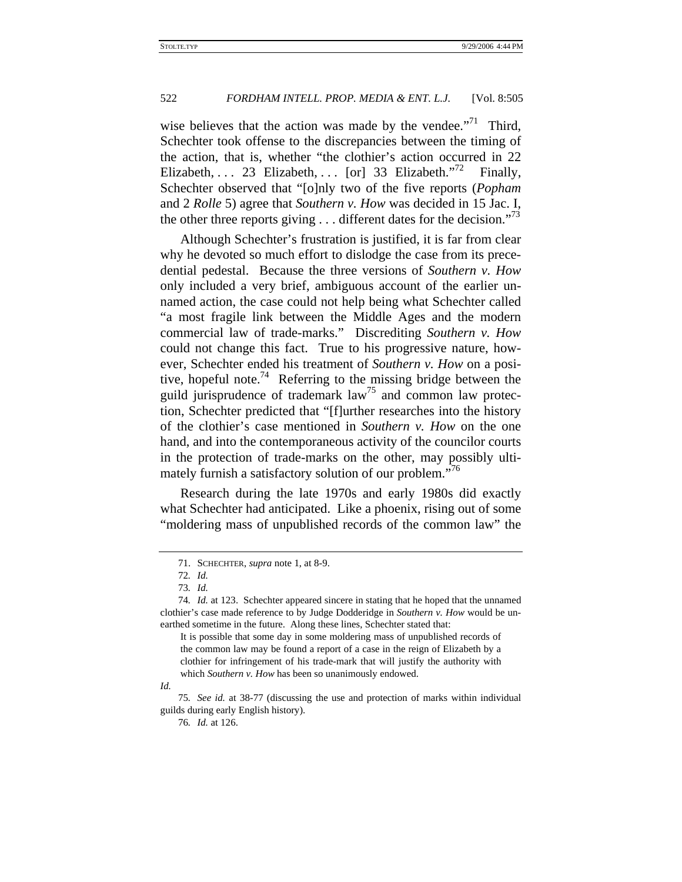wise believes that the action was made by the vendee. $"^{71}$  Third, Schechter took offense to the discrepancies between the timing of the action, that is, whether "the clothier's action occurred in 22 Elizabeth, ... 23 Elizabeth, ... [or] 33 Elizabeth."<sup>72</sup> Finally, Schechter observed that "[o]nly two of the five reports (*Popham* and 2 *Rolle* 5) agree that *Southern v. How* was decided in 15 Jac. I, the other three reports giving . . . different dates for the decision."<sup>73</sup>

Although Schechter's frustration is justified, it is far from clear why he devoted so much effort to dislodge the case from its precedential pedestal. Because the three versions of *Southern v. How* only included a very brief, ambiguous account of the earlier unnamed action, the case could not help being what Schechter called "a most fragile link between the Middle Ages and the modern commercial law of trade-marks." Discrediting *Southern v. How* could not change this fact. True to his progressive nature, however, Schechter ended his treatment of *Southern v. How* on a positive, hopeful note.<sup>74</sup> Referring to the missing bridge between the guild jurisprudence of trademark law<sup>75</sup> and common law protection, Schechter predicted that "[f]urther researches into the history of the clothier's case mentioned in *Southern v. How* on the one hand, and into the contemporaneous activity of the councilor courts in the protection of trade-marks on the other, may possibly ultimately furnish a satisfactory solution of our problem."<sup>76</sup>

Research during the late 1970s and early 1980s did exactly what Schechter had anticipated. Like a phoenix, rising out of some "moldering mass of unpublished records of the common law" the

<sup>71.</sup> SCHECHTER, *supra* note 1, at 8-9.

<sup>72</sup>*. Id.*

<sup>73</sup>*. Id.*

<sup>74</sup>*. Id.* at 123. Schechter appeared sincere in stating that he hoped that the unnamed clothier's case made reference to by Judge Dodderidge in *Southern v. How* would be unearthed sometime in the future. Along these lines, Schechter stated that:

It is possible that some day in some moldering mass of unpublished records of the common law may be found a report of a case in the reign of Elizabeth by a clothier for infringement of his trade-mark that will justify the authority with which *Southern v. How* has been so unanimously endowed.

*Id.*

<sup>75</sup>*. See id.* at 38-77 (discussing the use and protection of marks within individual guilds during early English history).

<sup>76</sup>*. Id.* at 126.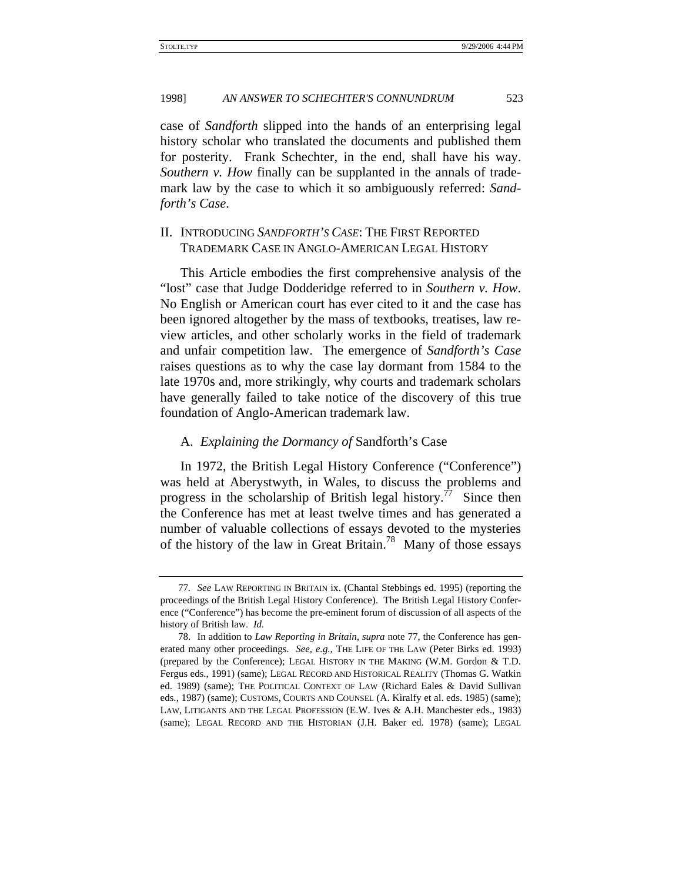case of *Sandforth* slipped into the hands of an enterprising legal history scholar who translated the documents and published them for posterity. Frank Schechter, in the end, shall have his way. *Southern v. How* finally can be supplanted in the annals of trademark law by the case to which it so ambiguously referred: *Sandforth's Case*.

# II. INTRODUCING *SANDFORTH'S CASE*: THE FIRST REPORTED TRADEMARK CASE IN ANGLO-AMERICAN LEGAL HISTORY

This Article embodies the first comprehensive analysis of the "lost" case that Judge Dodderidge referred to in *Southern v. How*. No English or American court has ever cited to it and the case has been ignored altogether by the mass of textbooks, treatises, law review articles, and other scholarly works in the field of trademark and unfair competition law. The emergence of *Sandforth's Case* raises questions as to why the case lay dormant from 1584 to the late 1970s and, more strikingly, why courts and trademark scholars have generally failed to take notice of the discovery of this true foundation of Anglo-American trademark law.

#### A. *Explaining the Dormancy of* Sandforth's Case

In 1972, the British Legal History Conference ("Conference") was held at Aberystwyth, in Wales, to discuss the problems and progress in the scholarship of British legal history.<sup>77</sup> Since then the Conference has met at least twelve times and has generated a number of valuable collections of essays devoted to the mysteries of the history of the law in Great Britain.<sup>78</sup> Many of those essays

<sup>77</sup>*. See* LAW REPORTING IN BRITAIN ix. (Chantal Stebbings ed. 1995) (reporting the proceedings of the British Legal History Conference). The British Legal History Conference ("Conference") has become the pre-eminent forum of discussion of all aspects of the history of British law. *Id.*

<sup>78.</sup> In addition to *Law Reporting in Britain*, *supra* note 77, the Conference has generated many other proceedings. *See, e.g.*, THE LIFE OF THE LAW (Peter Birks ed. 1993) (prepared by the Conference); LEGAL HISTORY IN THE MAKING (W.M. Gordon & T.D. Fergus eds., 1991) (same); LEGAL RECORD AND HISTORICAL REALITY (Thomas G. Watkin ed. 1989) (same); THE POLITICAL CONTEXT OF LAW (Richard Eales & David Sullivan eds., 1987) (same); CUSTOMS, COURTS AND COUNSEL (A. Kiralfy et al. eds. 1985) (same); LAW, LITIGANTS AND THE LEGAL PROFESSION (E.W. Ives & A.H. Manchester eds., 1983) (same); LEGAL RECORD AND THE HISTORIAN (J.H. Baker ed. 1978) (same); LEGAL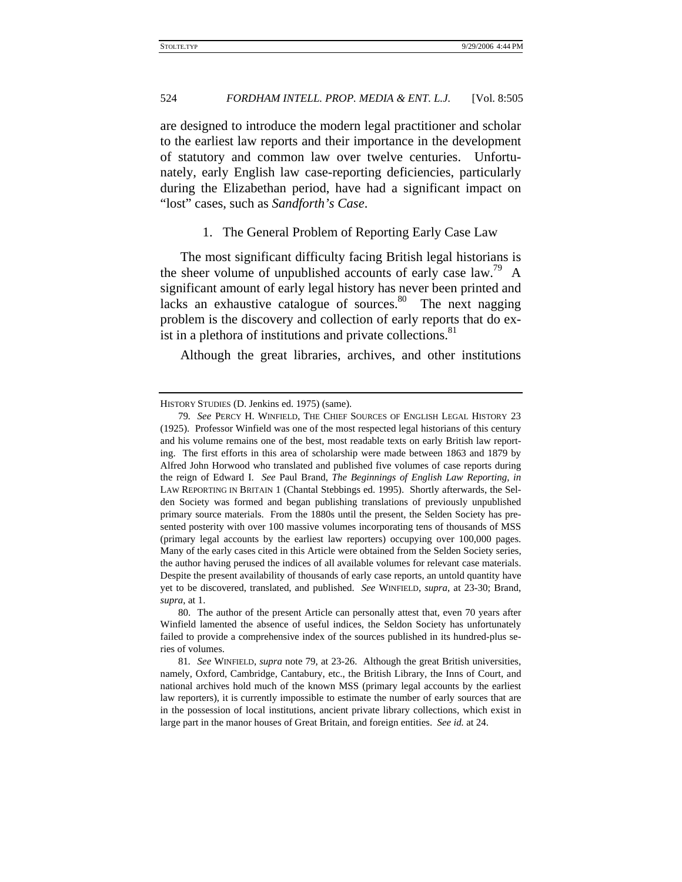are designed to introduce the modern legal practitioner and scholar to the earliest law reports and their importance in the development of statutory and common law over twelve centuries. Unfortunately, early English law case-reporting deficiencies, particularly during the Elizabethan period, have had a significant impact on "lost" cases, such as *Sandforth's Case*.

1. The General Problem of Reporting Early Case Law

The most significant difficulty facing British legal historians is the sheer volume of unpublished accounts of early case law.<sup>79</sup> A significant amount of early legal history has never been printed and lacks an exhaustive catalogue of sources. $80$  The next nagging problem is the discovery and collection of early reports that do exist in a plethora of institutions and private collections.<sup>81</sup>

Although the great libraries, archives, and other institutions

HISTORY STUDIES (D. Jenkins ed. 1975) (same).

<sup>79</sup>*. See* PERCY H. WINFIELD, THE CHIEF SOURCES OF ENGLISH LEGAL HISTORY 23 (1925). Professor Winfield was one of the most respected legal historians of this century and his volume remains one of the best, most readable texts on early British law reporting. The first efforts in this area of scholarship were made between 1863 and 1879 by Alfred John Horwood who translated and published five volumes of case reports during the reign of Edward I. *See* Paul Brand, *The Beginnings of English Law Reporting*, *in* LAW REPORTING IN BRITAIN 1 (Chantal Stebbings ed. 1995). Shortly afterwards, the Selden Society was formed and began publishing translations of previously unpublished primary source materials. From the 1880s until the present, the Selden Society has presented posterity with over 100 massive volumes incorporating tens of thousands of MSS (primary legal accounts by the earliest law reporters) occupying over 100,000 pages. Many of the early cases cited in this Article were obtained from the Selden Society series, the author having perused the indices of all available volumes for relevant case materials. Despite the present availability of thousands of early case reports, an untold quantity have yet to be discovered, translated, and published. *See* WINFIELD, *supra*, at 23-30; Brand, *supra*, at 1.

<sup>80.</sup> The author of the present Article can personally attest that, even 70 years after Winfield lamented the absence of useful indices, the Seldon Society has unfortunately failed to provide a comprehensive index of the sources published in its hundred-plus series of volumes.

<sup>81</sup>*. See* WINFIELD, *supra* note 79, at 23-26. Although the great British universities, namely, Oxford, Cambridge, Cantabury, etc., the British Library, the Inns of Court, and national archives hold much of the known MSS (primary legal accounts by the earliest law reporters), it is currently impossible to estimate the number of early sources that are in the possession of local institutions, ancient private library collections, which exist in large part in the manor houses of Great Britain, and foreign entities. *See id.* at 24.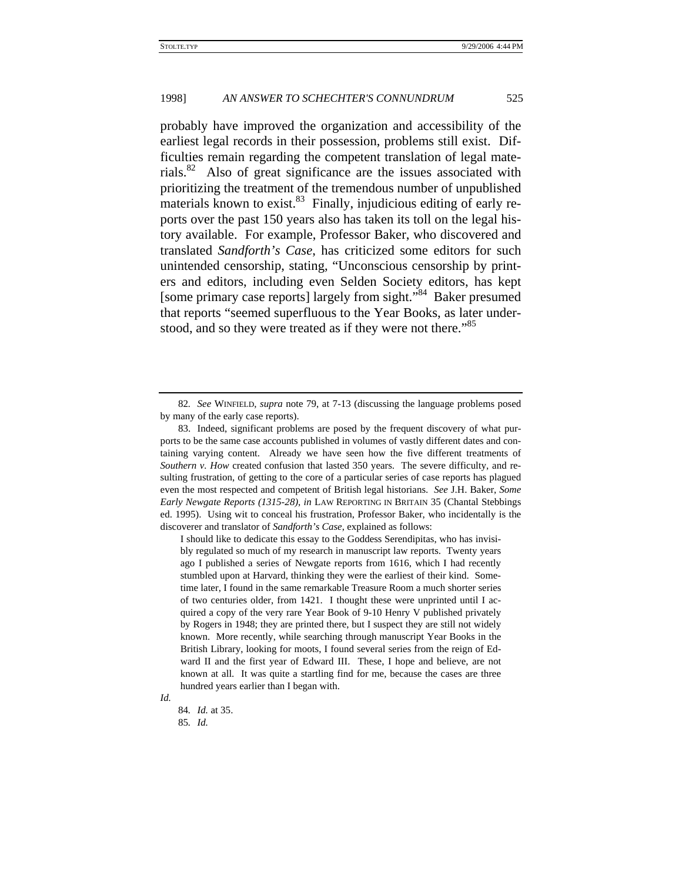probably have improved the organization and accessibility of the earliest legal records in their possession, problems still exist. Difficulties remain regarding the competent translation of legal materials. $82$  Also of great significance are the issues associated with prioritizing the treatment of the tremendous number of unpublished materials known to exist. $83$  Finally, injudicious editing of early reports over the past 150 years also has taken its toll on the legal history available. For example, Professor Baker, who discovered and translated *Sandforth's Case*, has criticized some editors for such unintended censorship, stating, "Unconscious censorship by printers and editors, including even Selden Society editors, has kept [some primary case reports] largely from sight.<sup>384</sup> Baker presumed that reports "seemed superfluous to the Year Books, as later understood, and so they were treated as if they were not there."<sup>85</sup>

I should like to dedicate this essay to the Goddess Serendipitas, who has invisibly regulated so much of my research in manuscript law reports. Twenty years ago I published a series of Newgate reports from 1616, which I had recently stumbled upon at Harvard, thinking they were the earliest of their kind. Sometime later, I found in the same remarkable Treasure Room a much shorter series of two centuries older, from 1421. I thought these were unprinted until I acquired a copy of the very rare Year Book of 9-10 Henry V published privately by Rogers in 1948; they are printed there, but I suspect they are still not widely known. More recently, while searching through manuscript Year Books in the British Library, looking for moots, I found several series from the reign of Edward II and the first year of Edward III. These, I hope and believe, are not known at all. It was quite a startling find for me, because the cases are three hundred years earlier than I began with.

<sup>82</sup>*. See* WINFIELD, *supra* note 79, at 7-13 (discussing the language problems posed by many of the early case reports).

<sup>83.</sup> Indeed, significant problems are posed by the frequent discovery of what purports to be the same case accounts published in volumes of vastly different dates and containing varying content. Already we have seen how the five different treatments of *Southern v. How* created confusion that lasted 350 years. The severe difficulty, and resulting frustration, of getting to the core of a particular series of case reports has plagued even the most respected and competent of British legal historians. *See* J.H. Baker, *Some Early Newgate Reports (1315-28)*, *in* LAW REPORTING IN BRITAIN 35 (Chantal Stebbings ed. 1995). Using wit to conceal his frustration, Professor Baker, who incidentally is the discoverer and translator of *Sandforth's Case*, explained as follows:

*Id.*

<sup>84</sup>*. Id.* at 35. 85*. Id.*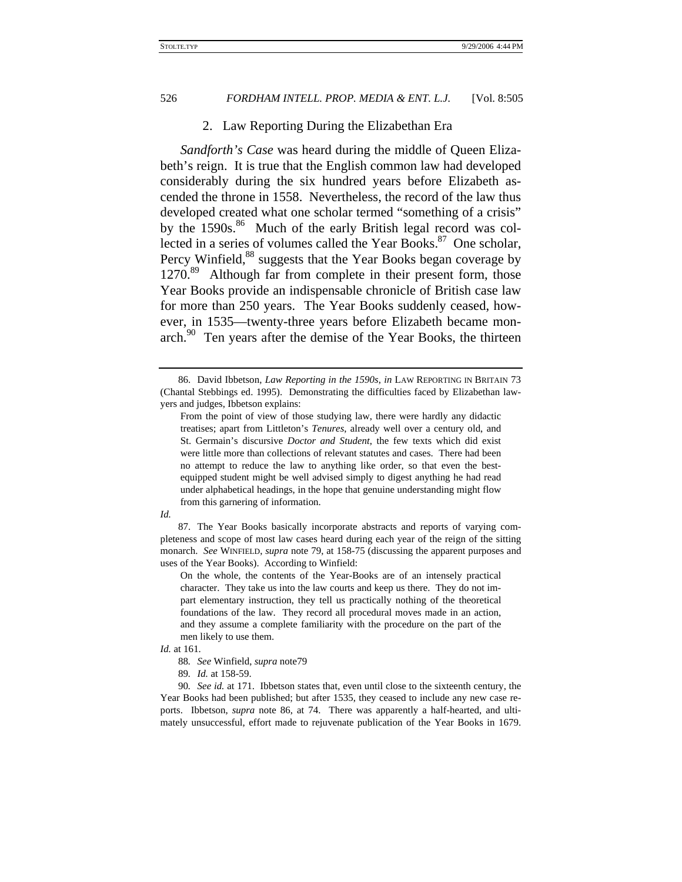#### 2. Law Reporting During the Elizabethan Era

*Sandforth's Case* was heard during the middle of Queen Elizabeth's reign. It is true that the English common law had developed considerably during the six hundred years before Elizabeth ascended the throne in 1558. Nevertheless, the record of the law thus developed created what one scholar termed "something of a crisis" by the  $1590s$ .<sup>86</sup> Much of the early British legal record was collected in a series of volumes called the Year Books.<sup>87</sup> One scholar, Percy Winfield,<sup>88</sup> suggests that the Year Books began coverage by 1270.<sup>89</sup> Although far from complete in their present form, those Year Books provide an indispensable chronicle of British case law for more than 250 years. The Year Books suddenly ceased, however, in 1535—twenty-three years before Elizabeth became monarch.<sup>90</sup> Ten years after the demise of the Year Books, the thirteen

90*. See id.* at 171. Ibbetson states that, even until close to the sixteenth century, the Year Books had been published; but after 1535, they ceased to include any new case reports. Ibbetson, *supra* note 86, at 74. There was apparently a half-hearted, and ultimately unsuccessful, effort made to rejuvenate publication of the Year Books in 1679.

<sup>86.</sup> David Ibbetson, *Law Reporting in the 1590s*, *in* LAW REPORTING IN BRITAIN 73 (Chantal Stebbings ed. 1995). Demonstrating the difficulties faced by Elizabethan lawyers and judges, Ibbetson explains:

From the point of view of those studying law, there were hardly any didactic treatises; apart from Littleton's *Tenures*, already well over a century old, and St. Germain's discursive *Doctor and Student*, the few texts which did exist were little more than collections of relevant statutes and cases. There had been no attempt to reduce the law to anything like order, so that even the bestequipped student might be well advised simply to digest anything he had read under alphabetical headings, in the hope that genuine understanding might flow from this garnering of information.

*Id.*

<sup>87.</sup> The Year Books basically incorporate abstracts and reports of varying completeness and scope of most law cases heard during each year of the reign of the sitting monarch. *See* WINFIELD, *supra* note 79, at 158-75 (discussing the apparent purposes and uses of the Year Books). According to Winfield:

On the whole, the contents of the Year-Books are of an intensely practical character. They take us into the law courts and keep us there. They do not impart elementary instruction, they tell us practically nothing of the theoretical foundations of the law. They record all procedural moves made in an action, and they assume a complete familiarity with the procedure on the part of the men likely to use them.

*Id.* at 161.

<sup>88</sup>*. See* Winfield, *supra* note79

<sup>89</sup>*. Id.* at 158-59.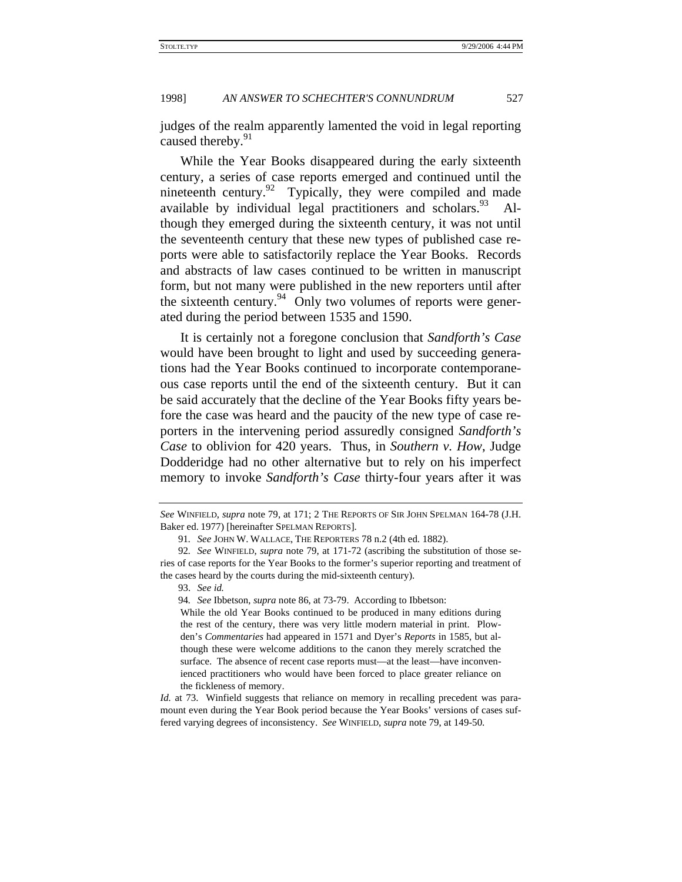judges of the realm apparently lamented the void in legal reporting caused thereby.<sup>91</sup>

While the Year Books disappeared during the early sixteenth century, a series of case reports emerged and continued until the nineteenth century.  $92$  Typically, they were compiled and made available by individual legal practitioners and scholars.  $93$ though they emerged during the sixteenth century, it was not until the seventeenth century that these new types of published case reports were able to satisfactorily replace the Year Books. Records and abstracts of law cases continued to be written in manuscript form, but not many were published in the new reporters until after the sixteenth century. $94$  Only two volumes of reports were generated during the period between 1535 and 1590.

It is certainly not a foregone conclusion that *Sandforth's Case* would have been brought to light and used by succeeding generations had the Year Books continued to incorporate contemporaneous case reports until the end of the sixteenth century. But it can be said accurately that the decline of the Year Books fifty years before the case was heard and the paucity of the new type of case reporters in the intervening period assuredly consigned *Sandforth's Case* to oblivion for 420 years. Thus, in *Southern v. How*, Judge Dodderidge had no other alternative but to rely on his imperfect memory to invoke *Sandforth's Case* thirty-four years after it was

*See* WINFIELD, *supra* note 79, at 171; 2 THE REPORTS OF SIR JOHN SPELMAN 164-78 (J.H. Baker ed. 1977) [hereinafter SPELMAN REPORTS].

<sup>91</sup>*. See* JOHN W. WALLACE, THE REPORTERS 78 n.2 (4th ed. 1882).

<sup>92</sup>*. See* WINFIELD, *supra* note 79, at 171-72 (ascribing the substitution of those series of case reports for the Year Books to the former's superior reporting and treatment of the cases heard by the courts during the mid-sixteenth century).

<sup>93.</sup> *See id.*

<sup>94</sup>*. See* Ibbetson, *supra* note 86, at 73-79. According to Ibbetson:

While the old Year Books continued to be produced in many editions during the rest of the century, there was very little modern material in print. Plowden's *Commentaries* had appeared in 1571 and Dyer's *Reports* in 1585, but although these were welcome additions to the canon they merely scratched the surface. The absence of recent case reports must—at the least—have inconvenienced practitioners who would have been forced to place greater reliance on the fickleness of memory.

*Id.* at 73. Winfield suggests that reliance on memory in recalling precedent was paramount even during the Year Book period because the Year Books' versions of cases suffered varying degrees of inconsistency. *See* WINFIELD, *supra* note 79, at 149-50.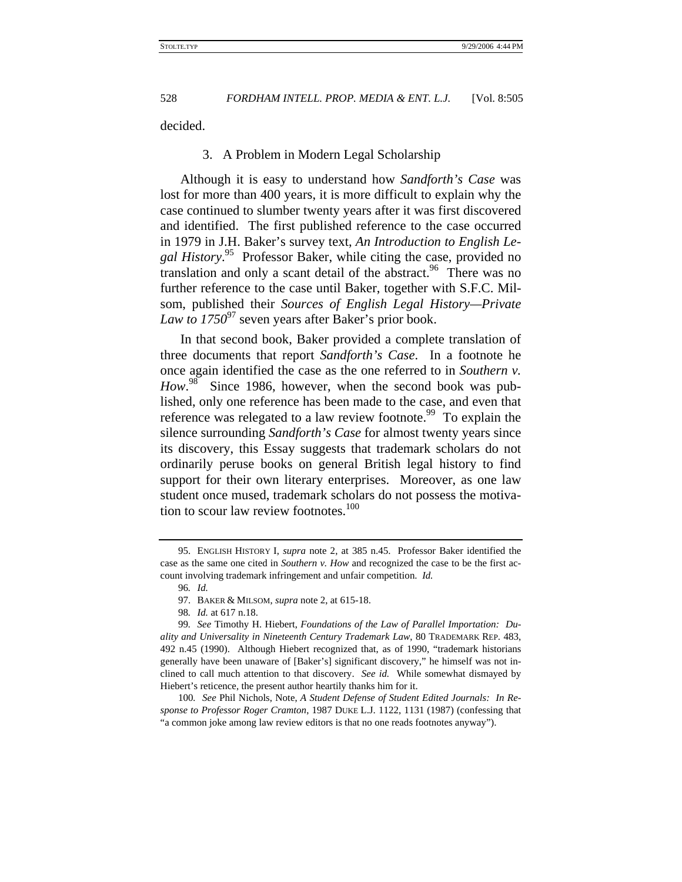decided.

#### 3. A Problem in Modern Legal Scholarship

Although it is easy to understand how *Sandforth's Case* was lost for more than 400 years, it is more difficult to explain why the case continued to slumber twenty years after it was first discovered and identified. The first published reference to the case occurred in 1979 in J.H. Baker's survey text, *An Introduction to English Legal History*. 95 Professor Baker, while citing the case, provided no translation and only a scant detail of the abstract.<sup>96</sup> There was no further reference to the case until Baker, together with S.F.C. Milsom, published their *Sources of English Legal History—Private Law to 1750*97 seven years after Baker's prior book.

In that second book, Baker provided a complete translation of three documents that report *Sandforth's Case*. In a footnote he once again identified the case as the one referred to in *Southern v.*  How.<sup>98</sup> Since 1986, however, when the second book was published, only one reference has been made to the case, and even that reference was relegated to a law review footnote.<sup>99</sup> To explain the silence surrounding *Sandforth's Case* for almost twenty years since its discovery, this Essay suggests that trademark scholars do not ordinarily peruse books on general British legal history to find support for their own literary enterprises. Moreover, as one law student once mused, trademark scholars do not possess the motivation to scour law review footnotes.<sup>100</sup>

98*. Id.* at 617 n.18.

<sup>95.</sup> ENGLISH HISTORY I, *supra* note 2, at 385 n.45. Professor Baker identified the case as the same one cited in *Southern v. How* and recognized the case to be the first account involving trademark infringement and unfair competition. *Id.*

<sup>96</sup>*. Id.*

<sup>97.</sup> BAKER & MILSOM, *supra* note 2, at 615-18.

<sup>99</sup>*. See* Timothy H. Hiebert, *Foundations of the Law of Parallel Importation: Duality and Universality in Nineteenth Century Trademark Law*, 80 TRADEMARK REP. 483, 492 n.45 (1990). Although Hiebert recognized that, as of 1990, "trademark historians generally have been unaware of [Baker's] significant discovery," he himself was not inclined to call much attention to that discovery. *See id.* While somewhat dismayed by Hiebert's reticence, the present author heartily thanks him for it.

<sup>100</sup>*. See* Phil Nichols, Note, *A Student Defense of Student Edited Journals: In Response to Professor Roger Cramton*, 1987 DUKE L.J. 1122, 1131 (1987) (confessing that "a common joke among law review editors is that no one reads footnotes anyway").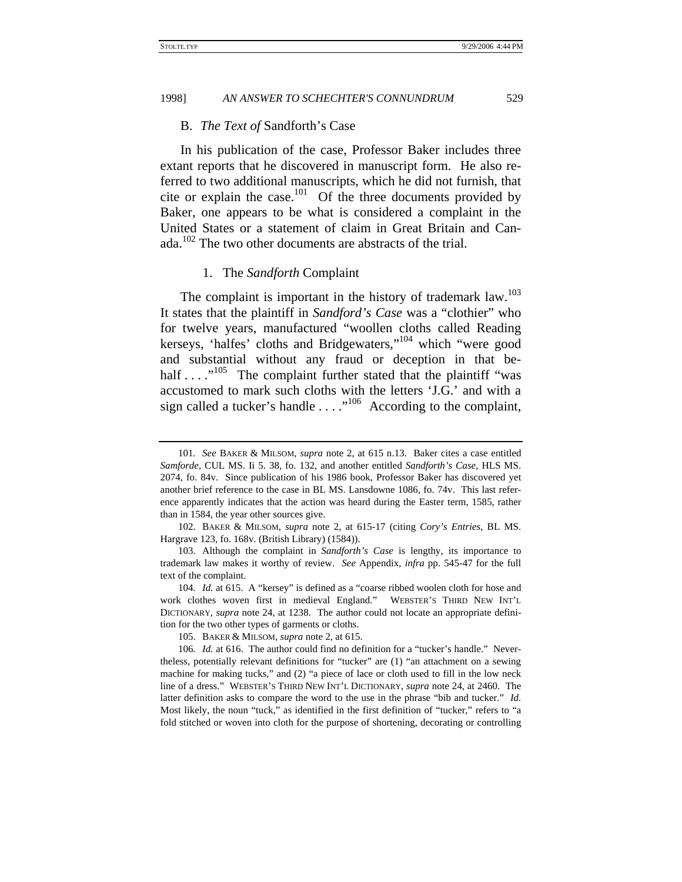#### B. *The Text of* Sandforth's Case

In his publication of the case, Professor Baker includes three extant reports that he discovered in manuscript form. He also referred to two additional manuscripts, which he did not furnish, that cite or explain the case.<sup>101</sup> Of the three documents provided by Baker, one appears to be what is considered a complaint in the United States or a statement of claim in Great Britain and Canada.<sup>102</sup> The two other documents are abstracts of the trial.

#### 1. The *Sandforth* Complaint

The complaint is important in the history of trademark law.<sup>103</sup> It states that the plaintiff in *Sandford's Case* was a "clothier" who for twelve years, manufactured "woollen cloths called Reading kerseys, 'halfes' cloths and Bridgewaters,"104 which "were good and substantial without any fraud or deception in that behalf  $\dots$  ."<sup>105</sup> The complaint further stated that the plaintiff "was accustomed to mark such cloths with the letters 'J.G.' and with a sign called a tucker's handle  $\dots$ ."<sup>106</sup> According to the complaint,

<sup>101</sup>*. See* BAKER & MILSOM, *supra* note 2, at 615 n.13. Baker cites a case entitled *Samforde*, CUL MS. Ii 5. 38, fo. 132, and another entitled *Sandforth's Case*, HLS MS. 2074, fo. 84v. Since publication of his 1986 book, Professor Baker has discovered yet another brief reference to the case in BL MS. Lansdowne 1086, fo. 74v. This last reference apparently indicates that the action was heard during the Easter term, 1585, rather than in 1584, the year other sources give.

<sup>102.</sup> BAKER & MILSOM, *supra* note 2, at 615-17 (citing *Cory's Entries*, BL MS. Hargrave 123, fo. 168v. (British Library) (1584)).

<sup>103.</sup> Although the complaint in *Sandforth's Case* is lengthy, its importance to trademark law makes it worthy of review. *See* Appendix, *infra* pp. 545-47 for the full text of the complaint.

<sup>104</sup>*. Id.* at 615. A "kersey" is defined as a "coarse ribbed woolen cloth for hose and work clothes woven first in medieval England." WEBSTER'S THIRD NEW INT'L DICTIONARY, *supra* note 24, at 1238. The author could not locate an appropriate definition for the two other types of garments or cloths.

<sup>105.</sup> BAKER & MILSOM, *supra* note 2, at 615.

<sup>106</sup>*. Id.* at 616. The author could find no definition for a "tucker's handle." Nevertheless, potentially relevant definitions for "tucker" are (1) "an attachment on a sewing machine for making tucks," and (2) "a piece of lace or cloth used to fill in the low neck line of a dress." WEBSTER'S THIRD NEW INT'L DICTIONARY, *supra* note 24, at 2460. The latter definition asks to compare the word to the use in the phrase "bib and tucker." *Id.* Most likely, the noun "tuck," as identified in the first definition of "tucker," refers to "a fold stitched or woven into cloth for the purpose of shortening, decorating or controlling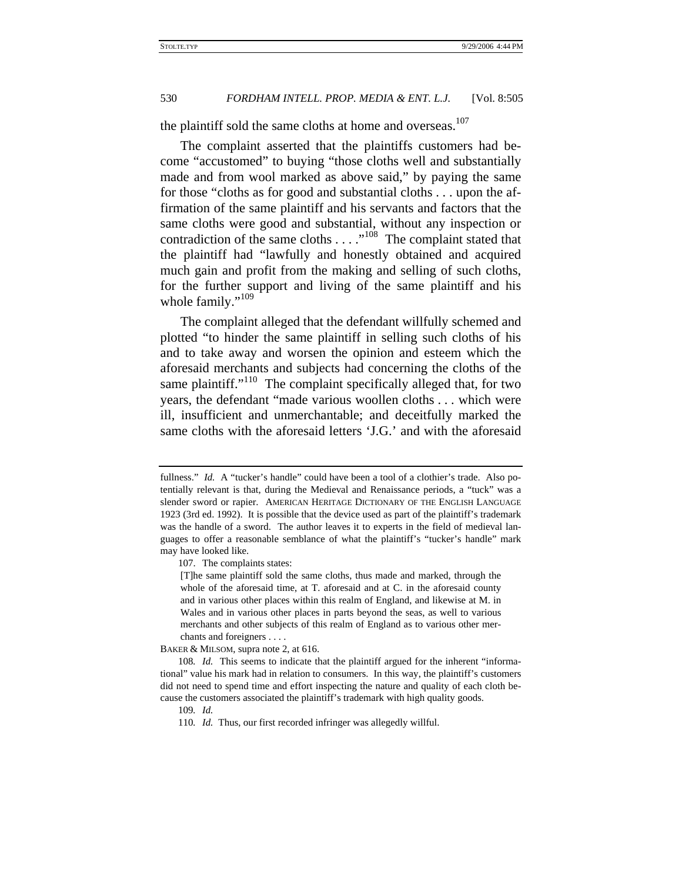the plaintiff sold the same cloths at home and overseas.<sup>107</sup>

The complaint asserted that the plaintiffs customers had become "accustomed" to buying "those cloths well and substantially made and from wool marked as above said," by paying the same for those "cloths as for good and substantial cloths . . . upon the affirmation of the same plaintiff and his servants and factors that the same cloths were good and substantial, without any inspection or contradiction of the same cloths . . . ."108 The complaint stated that the plaintiff had "lawfully and honestly obtained and acquired much gain and profit from the making and selling of such cloths, for the further support and living of the same plaintiff and his whole family."<sup>109</sup>

The complaint alleged that the defendant willfully schemed and plotted "to hinder the same plaintiff in selling such cloths of his and to take away and worsen the opinion and esteem which the aforesaid merchants and subjects had concerning the cloths of the same plaintiff." $110$  The complaint specifically alleged that, for two years, the defendant "made various woollen cloths . . . which were ill, insufficient and unmerchantable; and deceitfully marked the same cloths with the aforesaid letters 'J.G.' and with the aforesaid

BAKER & MILSOM, supra note 2, at 616.

fullness." *Id.* A "tucker's handle" could have been a tool of a clothier's trade. Also potentially relevant is that, during the Medieval and Renaissance periods, a "tuck" was a slender sword or rapier. AMERICAN HERITAGE DICTIONARY OF THE ENGLISH LANGUAGE 1923 (3rd ed. 1992). It is possible that the device used as part of the plaintiff's trademark was the handle of a sword. The author leaves it to experts in the field of medieval languages to offer a reasonable semblance of what the plaintiff's "tucker's handle" mark may have looked like.

<sup>107.</sup> The complaints states:

<sup>[</sup>T]he same plaintiff sold the same cloths, thus made and marked, through the whole of the aforesaid time, at T. aforesaid and at C. in the aforesaid county and in various other places within this realm of England, and likewise at M. in Wales and in various other places in parts beyond the seas, as well to various merchants and other subjects of this realm of England as to various other merchants and foreigners . . . .

<sup>108</sup>*. Id.* This seems to indicate that the plaintiff argued for the inherent "informational" value his mark had in relation to consumers. In this way, the plaintiff's customers did not need to spend time and effort inspecting the nature and quality of each cloth because the customers associated the plaintiff's trademark with high quality goods.

<sup>109</sup>*. Id.*

<sup>110</sup>*. Id.* Thus, our first recorded infringer was allegedly willful.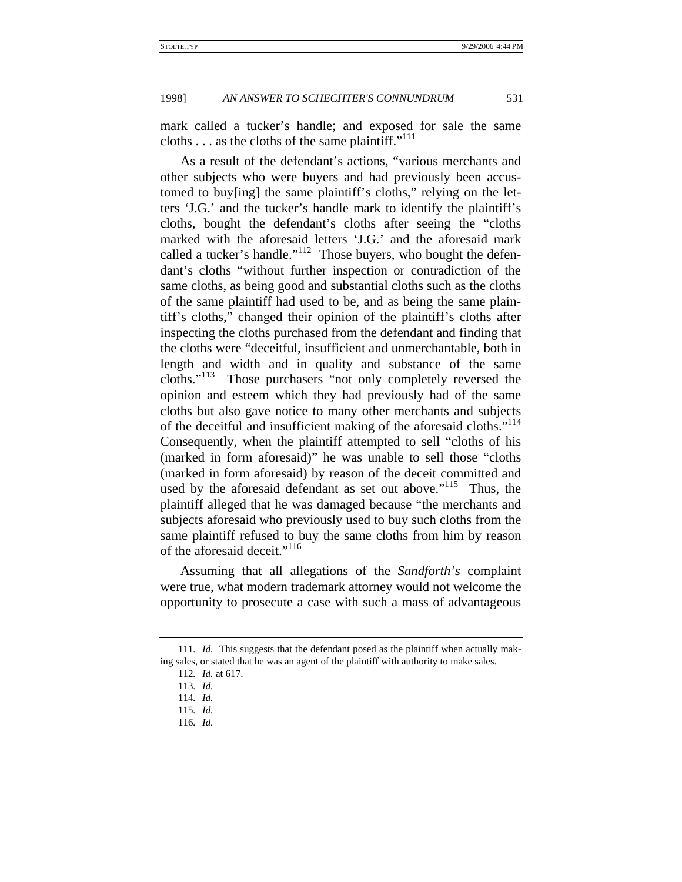mark called a tucker's handle; and exposed for sale the same cloths  $\dots$  as the cloths of the same plaintiff."<sup>111</sup>

As a result of the defendant's actions, "various merchants and other subjects who were buyers and had previously been accustomed to buy[ing] the same plaintiff's cloths," relying on the letters 'J.G.' and the tucker's handle mark to identify the plaintiff's cloths, bought the defendant's cloths after seeing the "cloths marked with the aforesaid letters 'J.G.' and the aforesaid mark called a tucker's handle."<sup>112</sup> Those buyers, who bought the defendant's cloths "without further inspection or contradiction of the same cloths, as being good and substantial cloths such as the cloths of the same plaintiff had used to be, and as being the same plaintiff's cloths," changed their opinion of the plaintiff's cloths after inspecting the cloths purchased from the defendant and finding that the cloths were "deceitful, insufficient and unmerchantable, both in length and width and in quality and substance of the same cloths."113 Those purchasers "not only completely reversed the opinion and esteem which they had previously had of the same cloths but also gave notice to many other merchants and subjects of the deceitful and insufficient making of the aforesaid cloths."114 Consequently, when the plaintiff attempted to sell "cloths of his (marked in form aforesaid)" he was unable to sell those "cloths (marked in form aforesaid) by reason of the deceit committed and used by the aforesaid defendant as set out above."<sup>115</sup> Thus, the plaintiff alleged that he was damaged because "the merchants and subjects aforesaid who previously used to buy such cloths from the same plaintiff refused to buy the same cloths from him by reason of the aforesaid deceit."<sup>116</sup>

Assuming that all allegations of the *Sandforth's* complaint were true, what modern trademark attorney would not welcome the opportunity to prosecute a case with such a mass of advantageous

<sup>111</sup>*. Id.* This suggests that the defendant posed as the plaintiff when actually making sales, or stated that he was an agent of the plaintiff with authority to make sales.

<sup>112</sup>*. Id.* at 617.

<sup>113</sup>*. Id.*

<sup>114</sup>*. Id.*

<sup>115</sup>*. Id.*

<sup>116</sup>*. Id.*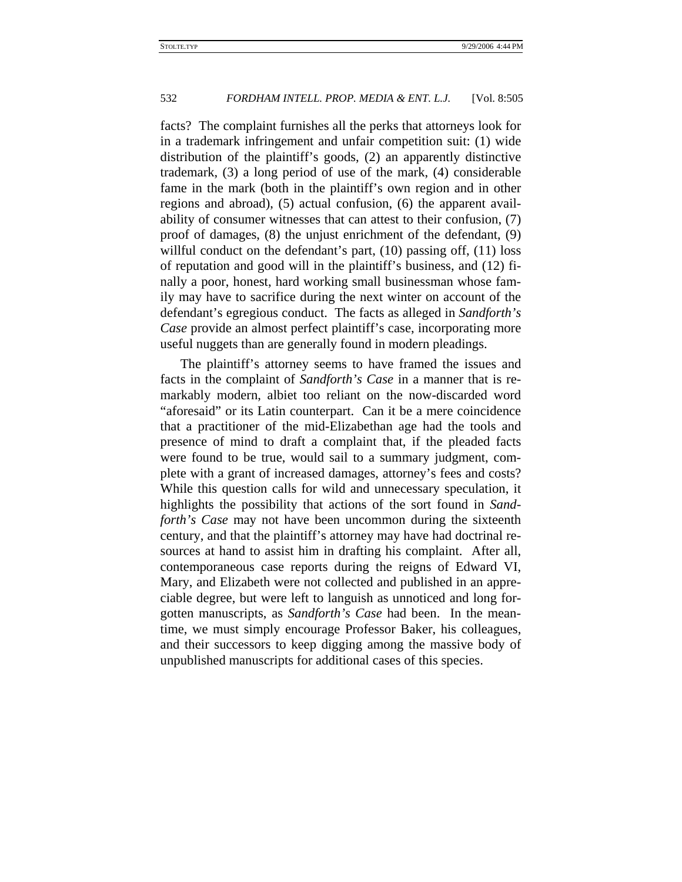facts? The complaint furnishes all the perks that attorneys look for in a trademark infringement and unfair competition suit: (1) wide distribution of the plaintiff's goods, (2) an apparently distinctive trademark, (3) a long period of use of the mark, (4) considerable fame in the mark (both in the plaintiff's own region and in other regions and abroad), (5) actual confusion, (6) the apparent availability of consumer witnesses that can attest to their confusion, (7) proof of damages, (8) the unjust enrichment of the defendant, (9) willful conduct on the defendant's part, (10) passing off, (11) loss of reputation and good will in the plaintiff's business, and (12) finally a poor, honest, hard working small businessman whose family may have to sacrifice during the next winter on account of the defendant's egregious conduct. The facts as alleged in *Sandforth's Case* provide an almost perfect plaintiff's case, incorporating more useful nuggets than are generally found in modern pleadings.

The plaintiff's attorney seems to have framed the issues and facts in the complaint of *Sandforth's Case* in a manner that is remarkably modern, albiet too reliant on the now-discarded word "aforesaid" or its Latin counterpart. Can it be a mere coincidence that a practitioner of the mid-Elizabethan age had the tools and presence of mind to draft a complaint that, if the pleaded facts were found to be true, would sail to a summary judgment, complete with a grant of increased damages, attorney's fees and costs? While this question calls for wild and unnecessary speculation, it highlights the possibility that actions of the sort found in *Sandforth's Case* may not have been uncommon during the sixteenth century, and that the plaintiff's attorney may have had doctrinal resources at hand to assist him in drafting his complaint. After all, contemporaneous case reports during the reigns of Edward VI, Mary, and Elizabeth were not collected and published in an appreciable degree, but were left to languish as unnoticed and long forgotten manuscripts, as *Sandforth's Case* had been. In the meantime, we must simply encourage Professor Baker, his colleagues, and their successors to keep digging among the massive body of unpublished manuscripts for additional cases of this species.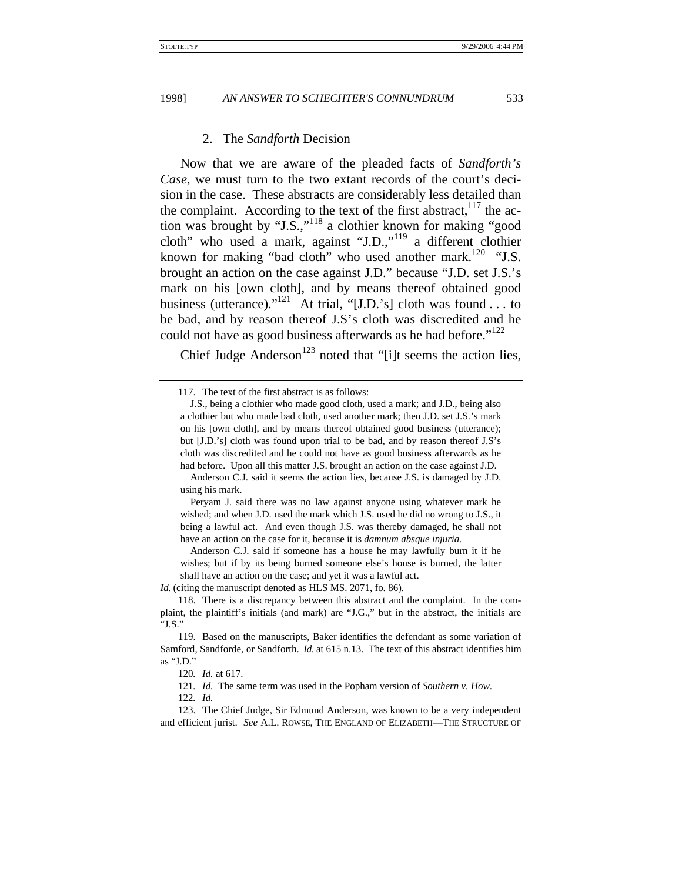#### 2. The *Sandforth* Decision

Now that we are aware of the pleaded facts of *Sandforth's Case*, we must turn to the two extant records of the court's decision in the case. These abstracts are considerably less detailed than the complaint. According to the text of the first abstract,  $117$  the action was brought by "J.S.,"118 a clothier known for making "good cloth" who used a mark, against "J.D.,"119 a different clothier known for making "bad cloth" who used another mark.<sup>120</sup> "J.S. brought an action on the case against J.D." because "J.D. set J.S.'s mark on his [own cloth], and by means thereof obtained good business (utterance)."<sup>121</sup> At trial, "[J.D.'s] cloth was found . . . to be bad, and by reason thereof J.S's cloth was discredited and he could not have as good business afterwards as he had before." $122$ 

Chief Judge Anderson<sup>123</sup> noted that "[i]t seems the action lies,

*Id.* (citing the manuscript denoted as HLS MS. 2071, fo. 86).

<sup>117.</sup> The text of the first abstract is as follows:

J.S., being a clothier who made good cloth, used a mark; and J.D., being also a clothier but who made bad cloth, used another mark; then J.D. set J.S.'s mark on his [own cloth], and by means thereof obtained good business (utterance); but [J.D.'s] cloth was found upon trial to be bad, and by reason thereof J.S's cloth was discredited and he could not have as good business afterwards as he had before. Upon all this matter J.S. brought an action on the case against J.D.

Anderson C.J. said it seems the action lies, because J.S. is damaged by J.D. using his mark.

Peryam J. said there was no law against anyone using whatever mark he wished; and when J.D. used the mark which J.S. used he did no wrong to J.S., it being a lawful act. And even though J.S. was thereby damaged, he shall not have an action on the case for it, because it is *damnum absque injuria*.

Anderson C.J. said if someone has a house he may lawfully burn it if he wishes; but if by its being burned someone else's house is burned, the latter shall have an action on the case; and yet it was a lawful act.

<sup>118.</sup> There is a discrepancy between this abstract and the complaint. In the complaint, the plaintiff's initials (and mark) are "J.G.," but in the abstract, the initials are "J.S."

<sup>119.</sup> Based on the manuscripts, Baker identifies the defendant as some variation of Samford, Sandforde, or Sandforth. *Id.* at 615 n.13. The text of this abstract identifies him as "J.D."

<sup>120</sup>*. Id.* at 617.

<sup>121</sup>*. Id.* The same term was used in the Popham version of *Southern v. How*.

<sup>122</sup>*. Id.*

<sup>123.</sup> The Chief Judge, Sir Edmund Anderson, was known to be a very independent and efficient jurist. *See* A.L. ROWSE, THE ENGLAND OF ELIZABETH—THE STRUCTURE OF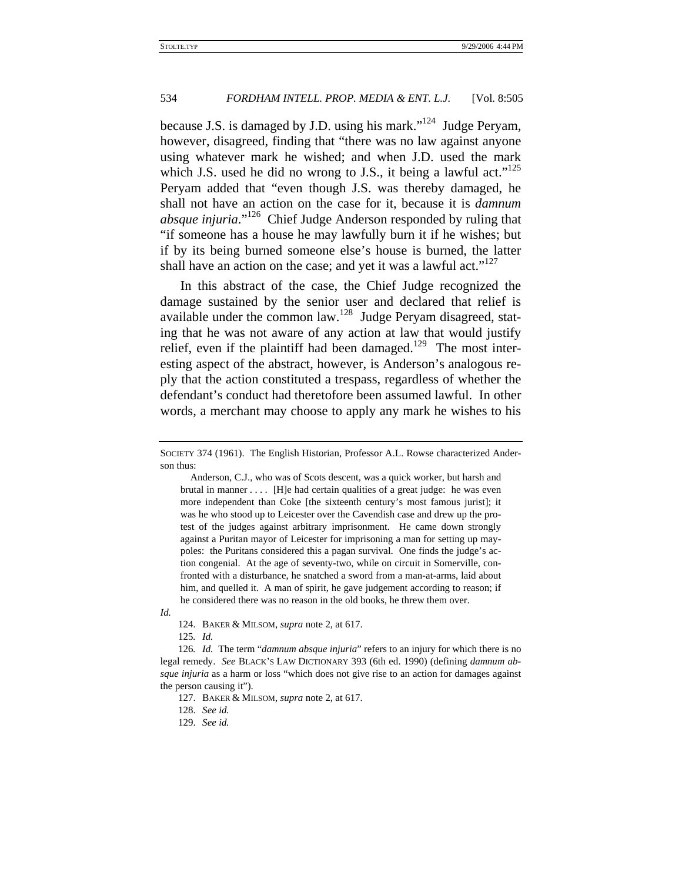because J.S. is damaged by J.D. using his mark."124 Judge Peryam, however, disagreed, finding that "there was no law against anyone using whatever mark he wished; and when J.D. used the mark which J.S. used he did no wrong to J.S., it being a lawful act."<sup>125</sup> Peryam added that "even though J.S. was thereby damaged, he shall not have an action on the case for it, because it is *damnum absque injuria*."126 Chief Judge Anderson responded by ruling that "if someone has a house he may lawfully burn it if he wishes; but if by its being burned someone else's house is burned, the latter shall have an action on the case; and yet it was a lawful act."<sup>127</sup>

In this abstract of the case, the Chief Judge recognized the damage sustained by the senior user and declared that relief is available under the common law.128 Judge Peryam disagreed, stating that he was not aware of any action at law that would justify relief, even if the plaintiff had been damaged.<sup>129</sup> The most interesting aspect of the abstract, however, is Anderson's analogous reply that the action constituted a trespass, regardless of whether the defendant's conduct had theretofore been assumed lawful. In other words, a merchant may choose to apply any mark he wishes to his

 Anderson, C.J., who was of Scots descent, was a quick worker, but harsh and brutal in manner . . . . [H]e had certain qualities of a great judge: he was even more independent than Coke [the sixteenth century's most famous jurist]; it was he who stood up to Leicester over the Cavendish case and drew up the protest of the judges against arbitrary imprisonment. He came down strongly against a Puritan mayor of Leicester for imprisoning a man for setting up maypoles: the Puritans considered this a pagan survival. One finds the judge's action congenial. At the age of seventy-two, while on circuit in Somerville, confronted with a disturbance, he snatched a sword from a man-at-arms, laid about him, and quelled it. A man of spirit, he gave judgement according to reason; if he considered there was no reason in the old books, he threw them over.

*Id.*

125*. Id.*

129. *See id.*

SOCIETY 374 (1961). The English Historian, Professor A.L. Rowse characterized Anderson thus:

<sup>124.</sup> BAKER & MILSOM, *supra* note 2, at 617.

<sup>126</sup>*. Id.* The term "*damnum absque injuria*" refers to an injury for which there is no legal remedy. *See* BLACK'S LAW DICTIONARY 393 (6th ed. 1990) (defining *damnum absque injuria* as a harm or loss "which does not give rise to an action for damages against the person causing it").

<sup>127.</sup> BAKER & MILSOM, *supra* note 2, at 617.

<sup>128.</sup> *See id.*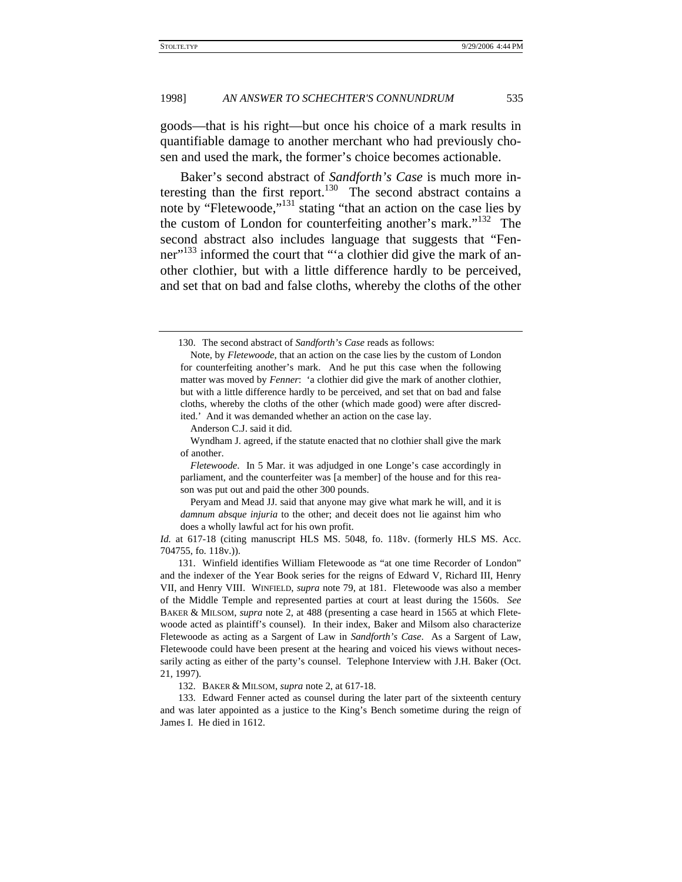goods—that is his right—but once his choice of a mark results in quantifiable damage to another merchant who had previously chosen and used the mark, the former's choice becomes actionable.

Baker's second abstract of *Sandforth's Case* is much more interesting than the first report.<sup>130</sup> The second abstract contains a note by "Fletewoode," $^{131}$  stating "that an action on the case lies by the custom of London for counterfeiting another's mark."<sup>132</sup> The second abstract also includes language that suggests that "Fenner"<sup>133</sup> informed the court that "'a clothier did give the mark of another clothier, but with a little difference hardly to be perceived, and set that on bad and false cloths, whereby the cloths of the other

Anderson C.J. said it did.

 Wyndham J. agreed, if the statute enacted that no clothier shall give the mark of another.

 *Fletewoode*. In 5 Mar. it was adjudged in one Longe's case accordingly in parliament, and the counterfeiter was [a member] of the house and for this reason was put out and paid the other 300 pounds.

 Peryam and Mead JJ. said that anyone may give what mark he will, and it is *damnum absque injuria* to the other; and deceit does not lie against him who does a wholly lawful act for his own profit.

*Id.* at 617-18 (citing manuscript HLS MS. 5048, fo. 118v. (formerly HLS MS. Acc. 704755, fo. 118v.)).

131. Winfield identifies William Fletewoode as "at one time Recorder of London" and the indexer of the Year Book series for the reigns of Edward V, Richard III, Henry VII, and Henry VIII. WINFIELD, *supra* note 79, at 181. Fletewoode was also a member of the Middle Temple and represented parties at court at least during the 1560s. *See* BAKER & MILSOM, *supra* note 2, at 488 (presenting a case heard in 1565 at which Fletewoode acted as plaintiff's counsel). In their index, Baker and Milsom also characterize Fletewoode as acting as a Sargent of Law in *Sandforth's Case*. As a Sargent of Law, Fletewoode could have been present at the hearing and voiced his views without necessarily acting as either of the party's counsel. Telephone Interview with J.H. Baker (Oct. 21, 1997).

132. BAKER & MILSOM, *supra* note 2, at 617-18.

133. Edward Fenner acted as counsel during the later part of the sixteenth century and was later appointed as a justice to the King's Bench sometime during the reign of James I. He died in 1612.

<sup>130.</sup> The second abstract of *Sandforth's Case* reads as follows:

Note, by *Fletewoode*, that an action on the case lies by the custom of London for counterfeiting another's mark. And he put this case when the following matter was moved by *Fenner*: 'a clothier did give the mark of another clothier, but with a little difference hardly to be perceived, and set that on bad and false cloths, whereby the cloths of the other (which made good) were after discredited.' And it was demanded whether an action on the case lay.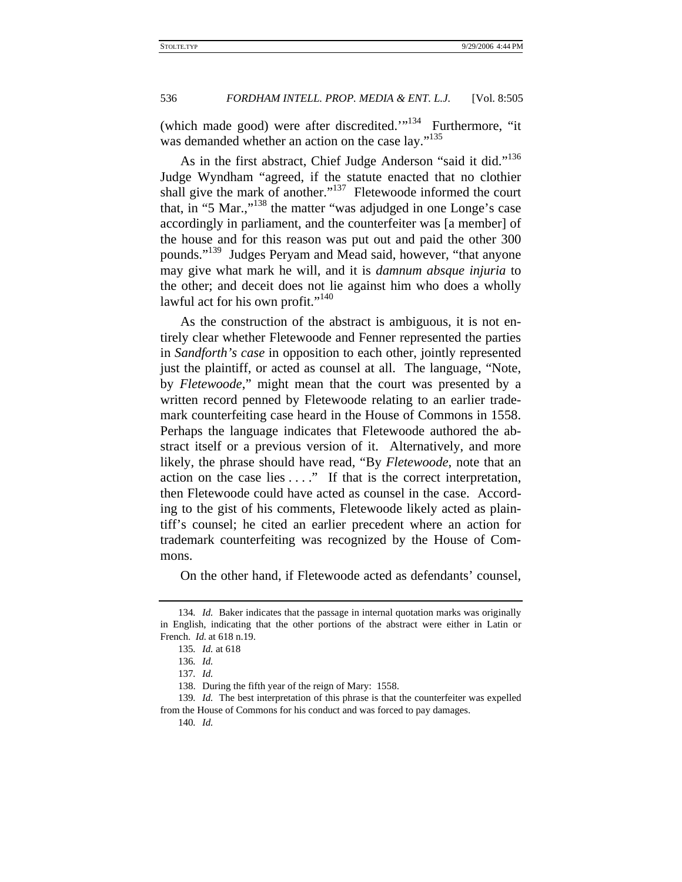(which made good) were after discredited."<sup>134</sup> Furthermore, "it was demanded whether an action on the case lay."<sup>135</sup>

As in the first abstract, Chief Judge Anderson "said it did."<sup>136</sup> Judge Wyndham "agreed, if the statute enacted that no clothier shall give the mark of another."<sup>137</sup> Fletewoode informed the court that, in "5 Mar.,"138 the matter "was adjudged in one Longe's case accordingly in parliament, and the counterfeiter was [a member] of the house and for this reason was put out and paid the other 300 pounds."<sup>139</sup> Judges Peryam and Mead said, however, "that anyone may give what mark he will, and it is *damnum absque injuria* to the other; and deceit does not lie against him who does a wholly lawful act for his own profit."<sup>140</sup>

As the construction of the abstract is ambiguous, it is not entirely clear whether Fletewoode and Fenner represented the parties in *Sandforth's case* in opposition to each other, jointly represented just the plaintiff, or acted as counsel at all. The language, "Note, by *Fletewoode*," might mean that the court was presented by a written record penned by Fletewoode relating to an earlier trademark counterfeiting case heard in the House of Commons in 1558. Perhaps the language indicates that Fletewoode authored the abstract itself or a previous version of it. Alternatively, and more likely, the phrase should have read, "By *Fletewoode*, note that an action on the case lies . . . ." If that is the correct interpretation, then Fletewoode could have acted as counsel in the case. According to the gist of his comments, Fletewoode likely acted as plaintiff's counsel; he cited an earlier precedent where an action for trademark counterfeiting was recognized by the House of Commons.

On the other hand, if Fletewoode acted as defendants' counsel,

<sup>134</sup>*. Id.* Baker indicates that the passage in internal quotation marks was originally in English, indicating that the other portions of the abstract were either in Latin or French. *Id.* at 618 n.19.

<sup>135</sup>*. Id.* at 618

<sup>136</sup>*. Id.*

<sup>137</sup>*. Id.*

<sup>138.</sup> During the fifth year of the reign of Mary: 1558.

<sup>139</sup>*. Id.* The best interpretation of this phrase is that the counterfeiter was expelled from the House of Commons for his conduct and was forced to pay damages.

<sup>140</sup>*. Id.*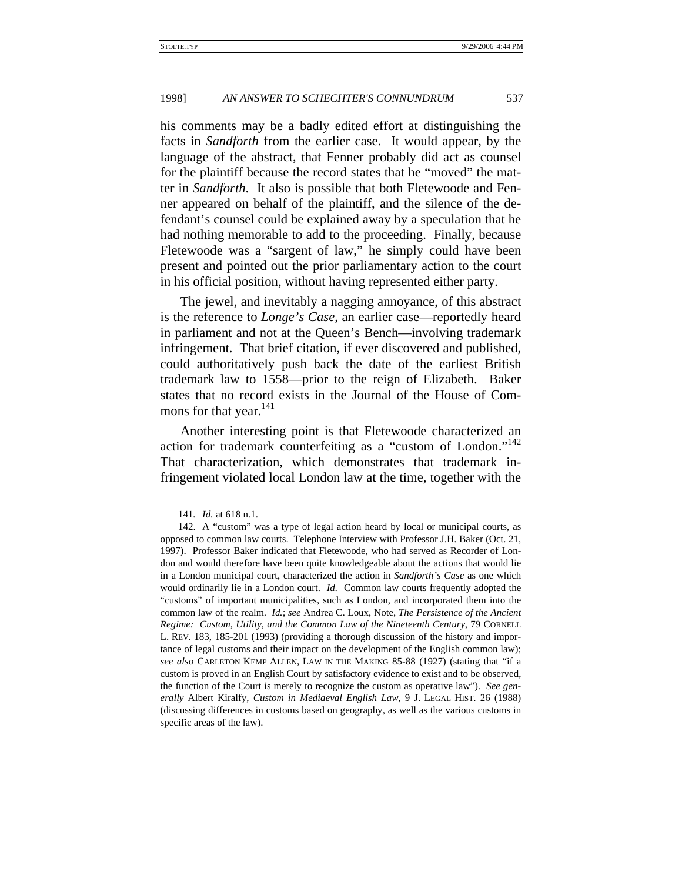his comments may be a badly edited effort at distinguishing the facts in *Sandforth* from the earlier case. It would appear, by the language of the abstract, that Fenner probably did act as counsel for the plaintiff because the record states that he "moved" the matter in *Sandforth*. It also is possible that both Fletewoode and Fenner appeared on behalf of the plaintiff, and the silence of the defendant's counsel could be explained away by a speculation that he had nothing memorable to add to the proceeding. Finally, because Fletewoode was a "sargent of law," he simply could have been present and pointed out the prior parliamentary action to the court in his official position, without having represented either party.

The jewel, and inevitably a nagging annoyance, of this abstract is the reference to *Longe's Case*, an earlier case—reportedly heard in parliament and not at the Queen's Bench—involving trademark infringement. That brief citation, if ever discovered and published, could authoritatively push back the date of the earliest British trademark law to 1558—prior to the reign of Elizabeth. Baker states that no record exists in the Journal of the House of Commons for that year.<sup>141</sup>

Another interesting point is that Fletewoode characterized an action for trademark counterfeiting as a "custom of London."142 That characterization, which demonstrates that trademark infringement violated local London law at the time, together with the

<sup>141</sup>*. Id.* at 618 n.1.

<sup>142.</sup> A "custom" was a type of legal action heard by local or municipal courts, as opposed to common law courts. Telephone Interview with Professor J.H. Baker (Oct. 21, 1997). Professor Baker indicated that Fletewoode, who had served as Recorder of London and would therefore have been quite knowledgeable about the actions that would lie in a London municipal court, characterized the action in *Sandforth's Case* as one which would ordinarily lie in a London court. *Id.* Common law courts frequently adopted the "customs" of important municipalities, such as London, and incorporated them into the common law of the realm. *Id.*; *see* Andrea C. Loux, Note, *The Persistence of the Ancient Regime: Custom, Utility, and the Common Law of the Nineteenth Century*, 79 CORNELL L. REV. 183, 185-201 (1993) (providing a thorough discussion of the history and importance of legal customs and their impact on the development of the English common law); *see also* CARLETON KEMP ALLEN, LAW IN THE MAKING 85-88 (1927) (stating that "if a custom is proved in an English Court by satisfactory evidence to exist and to be observed, the function of the Court is merely to recognize the custom as operative law"). *See generally* Albert Kiralfy, *Custom in Mediaeval English Law*, 9 J. LEGAL HIST. 26 (1988) (discussing differences in customs based on geography, as well as the various customs in specific areas of the law).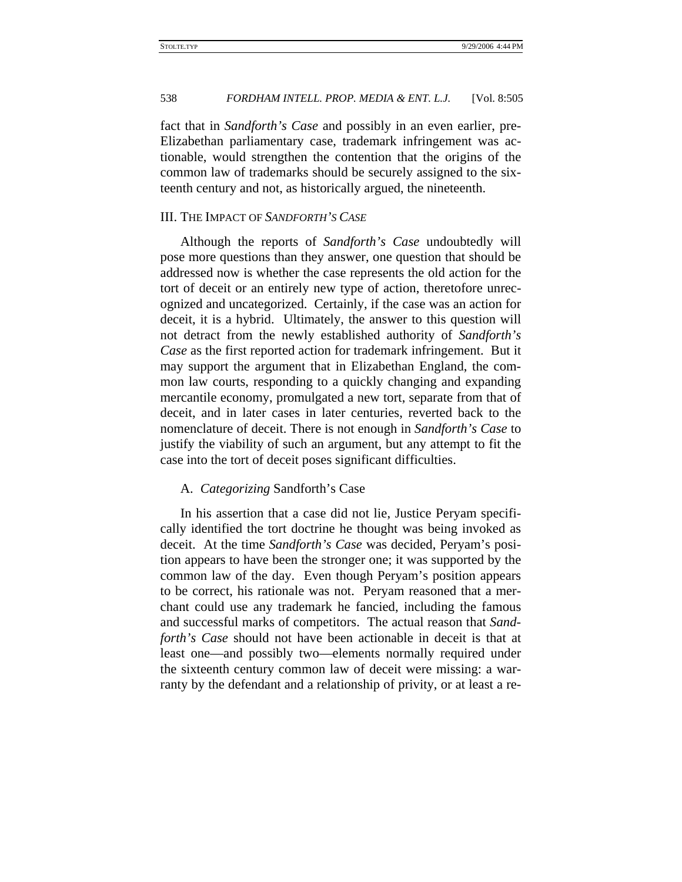fact that in *Sandforth's Case* and possibly in an even earlier, pre-Elizabethan parliamentary case, trademark infringement was actionable, would strengthen the contention that the origins of the common law of trademarks should be securely assigned to the sixteenth century and not, as historically argued, the nineteenth.

# III. THE IMPACT OF *SANDFORTH'S CASE*

Although the reports of *Sandforth's Case* undoubtedly will pose more questions than they answer, one question that should be addressed now is whether the case represents the old action for the tort of deceit or an entirely new type of action, theretofore unrecognized and uncategorized. Certainly, if the case was an action for deceit, it is a hybrid. Ultimately, the answer to this question will not detract from the newly established authority of *Sandforth's Case* as the first reported action for trademark infringement. But it may support the argument that in Elizabethan England, the common law courts, responding to a quickly changing and expanding mercantile economy, promulgated a new tort, separate from that of deceit, and in later cases in later centuries, reverted back to the nomenclature of deceit. There is not enough in *Sandforth's Case* to justify the viability of such an argument, but any attempt to fit the case into the tort of deceit poses significant difficulties.

## A. *Categorizing* Sandforth's Case

In his assertion that a case did not lie, Justice Peryam specifically identified the tort doctrine he thought was being invoked as deceit. At the time *Sandforth's Case* was decided, Peryam's position appears to have been the stronger one; it was supported by the common law of the day. Even though Peryam's position appears to be correct, his rationale was not. Peryam reasoned that a merchant could use any trademark he fancied, including the famous and successful marks of competitors. The actual reason that *Sandforth's Case* should not have been actionable in deceit is that at least one—and possibly two—elements normally required under the sixteenth century common law of deceit were missing: a warranty by the defendant and a relationship of privity, or at least a re-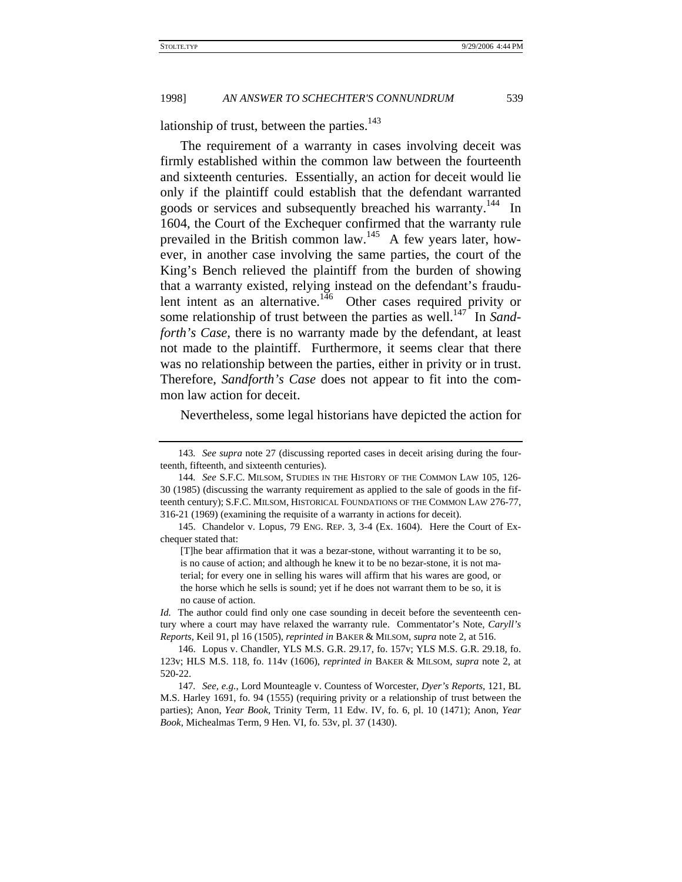lationship of trust, between the parties. $143$ 

The requirement of a warranty in cases involving deceit was firmly established within the common law between the fourteenth and sixteenth centuries. Essentially, an action for deceit would lie only if the plaintiff could establish that the defendant warranted goods or services and subsequently breached his warranty.<sup>144</sup> In 1604, the Court of the Exchequer confirmed that the warranty rule prevailed in the British common law.145 A few years later, however, in another case involving the same parties, the court of the King's Bench relieved the plaintiff from the burden of showing that a warranty existed, relying instead on the defendant's fraudulent intent as an alternative.<sup>146</sup> Other cases required privity or some relationship of trust between the parties as well.<sup>147</sup> In *Sandforth's Case*, there is no warranty made by the defendant, at least not made to the plaintiff. Furthermore, it seems clear that there was no relationship between the parties, either in privity or in trust. Therefore, *Sandforth's Case* does not appear to fit into the common law action for deceit.

Nevertheless, some legal historians have depicted the action for

<sup>143</sup>*. See supra* note 27 (discussing reported cases in deceit arising during the fourteenth, fifteenth, and sixteenth centuries).

<sup>144</sup>*. See* S.F.C. MILSOM, STUDIES IN THE HISTORY OF THE COMMON LAW 105, 126- 30 (1985) (discussing the warranty requirement as applied to the sale of goods in the fifteenth century); S.F.C. MILSOM, HISTORICAL FOUNDATIONS OF THE COMMON LAW 276-77, 316-21 (1969) (examining the requisite of a warranty in actions for deceit).

<sup>145.</sup> Chandelor v. Lopus, 79 ENG. REP. 3, 3-4 (Ex. 1604). Here the Court of Exchequer stated that:

<sup>[</sup>T]he bear affirmation that it was a bezar-stone, without warranting it to be so, is no cause of action; and although he knew it to be no bezar-stone, it is not material; for every one in selling his wares will affirm that his wares are good, or the horse which he sells is sound; yet if he does not warrant them to be so, it is no cause of action.

*Id.* The author could find only one case sounding in deceit before the seventeenth century where a court may have relaxed the warranty rule. Commentator's Note, *Caryll's Reports*, Keil 91, pl 16 (1505), *reprinted in* BAKER & MILSOM, *supra* note 2, at 516.

<sup>146.</sup> Lopus v. Chandler, YLS M.S. G.R. 29.17, fo. 157v; YLS M.S. G.R. 29.18, fo. 123v; HLS M.S. 118, fo. 114v (1606), *reprinted in* BAKER & MILSOM, *supra* note 2, at 520-22.

<sup>147</sup>*. See, e.g.*, Lord Mounteagle v. Countess of Worcester, *Dyer's Reports*, 121, BL M.S. Harley 1691, fo. 94 (1555) (requiring privity or a relationship of trust between the parties); Anon, *Year Book*, Trinity Term, 11 Edw. IV, fo. 6, pl. 10 (1471); Anon, *Year Book*, Michealmas Term, 9 Hen. VI, fo. 53v, pl. 37 (1430).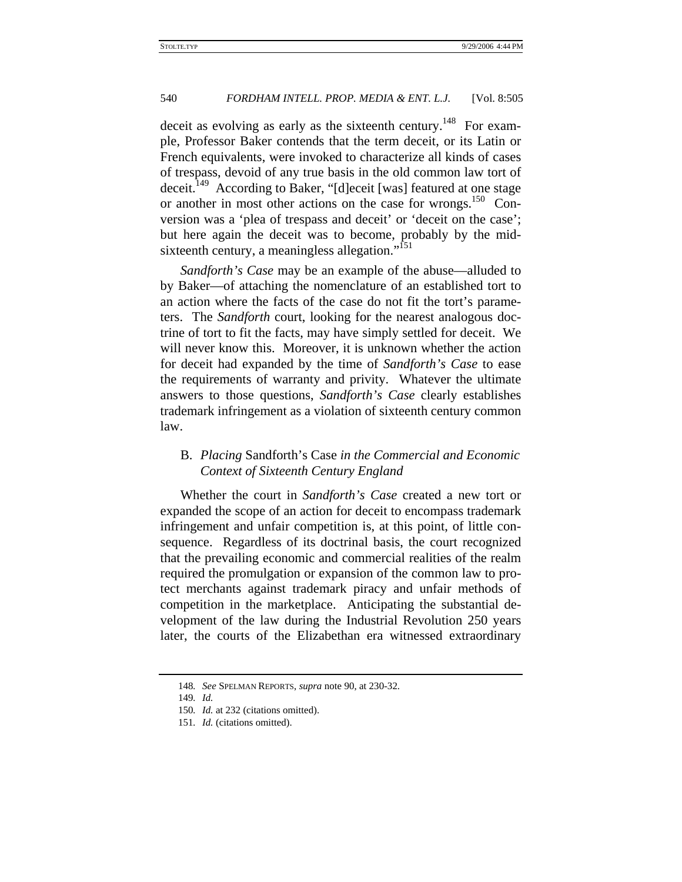deceit as evolving as early as the sixteenth century.<sup>148</sup> For example, Professor Baker contends that the term deceit, or its Latin or French equivalents, were invoked to characterize all kinds of cases of trespass, devoid of any true basis in the old common law tort of deceit.<sup>149</sup> According to Baker, "[d]eceit [was] featured at one stage or another in most other actions on the case for wrongs.<sup>150</sup> Conversion was a 'plea of trespass and deceit' or 'deceit on the case'; but here again the deceit was to become, probably by the midsixteenth century, a meaningless allegation."<sup>151</sup>

*Sandforth's Case* may be an example of the abuse—alluded to by Baker—of attaching the nomenclature of an established tort to an action where the facts of the case do not fit the tort's parameters. The *Sandforth* court, looking for the nearest analogous doctrine of tort to fit the facts, may have simply settled for deceit. We will never know this. Moreover, it is unknown whether the action for deceit had expanded by the time of *Sandforth's Case* to ease the requirements of warranty and privity. Whatever the ultimate answers to those questions, *Sandforth's Case* clearly establishes trademark infringement as a violation of sixteenth century common law.

# B. *Placing* Sandforth's Case *in the Commercial and Economic Context of Sixteenth Century England*

Whether the court in *Sandforth's Case* created a new tort or expanded the scope of an action for deceit to encompass trademark infringement and unfair competition is, at this point, of little consequence. Regardless of its doctrinal basis, the court recognized that the prevailing economic and commercial realities of the realm required the promulgation or expansion of the common law to protect merchants against trademark piracy and unfair methods of competition in the marketplace. Anticipating the substantial development of the law during the Industrial Revolution 250 years later, the courts of the Elizabethan era witnessed extraordinary

<sup>148</sup>*. See* SPELMAN REPORTS, *supra* note 90, at 230-32.

<sup>149</sup>*. Id.*

<sup>150</sup>*. Id.* at 232 (citations omitted).

<sup>151</sup>*. Id.* (citations omitted).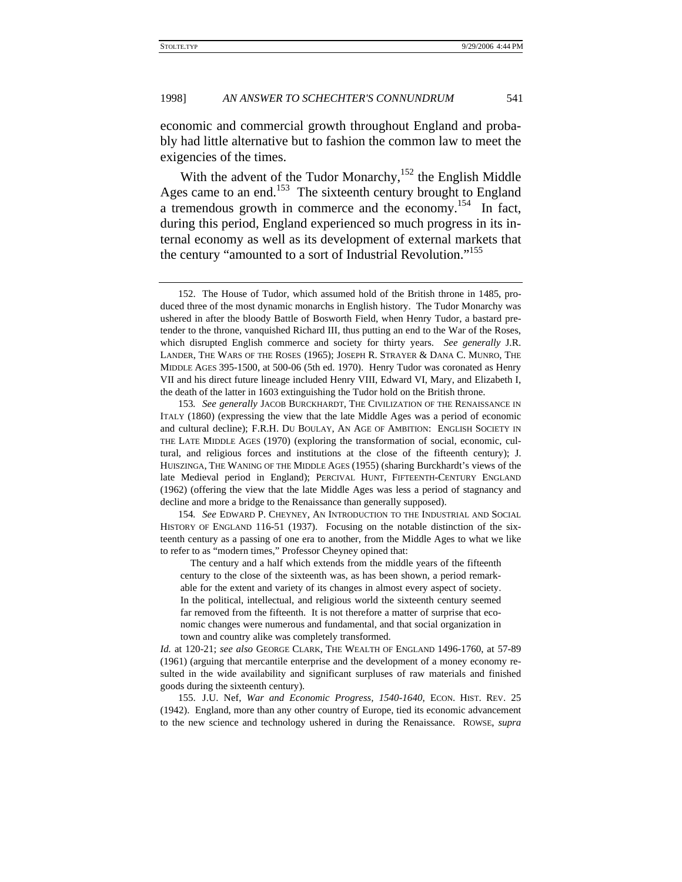economic and commercial growth throughout England and probably had little alternative but to fashion the common law to meet the exigencies of the times.

With the advent of the Tudor Monarchy,<sup>152</sup> the English Middle Ages came to an end.<sup>153</sup> The sixteenth century brought to England a tremendous growth in commerce and the economy.<sup>154</sup> In fact, during this period, England experienced so much progress in its internal economy as well as its development of external markets that the century "amounted to a sort of Industrial Revolution."<sup>155</sup>

154*. See* EDWARD P. CHEYNEY, AN INTRODUCTION TO THE INDUSTRIAL AND SOCIAL HISTORY OF ENGLAND 116-51 (1937). Focusing on the notable distinction of the sixteenth century as a passing of one era to another, from the Middle Ages to what we like to refer to as "modern times," Professor Cheyney opined that:

 The century and a half which extends from the middle years of the fifteenth century to the close of the sixteenth was, as has been shown, a period remarkable for the extent and variety of its changes in almost every aspect of society. In the political, intellectual, and religious world the sixteenth century seemed far removed from the fifteenth. It is not therefore a matter of surprise that economic changes were numerous and fundamental, and that social organization in town and country alike was completely transformed.

*Id.* at 120-21; *see also* GEORGE CLARK, THE WEALTH OF ENGLAND 1496-1760, at 57-89 (1961) (arguing that mercantile enterprise and the development of a money economy resulted in the wide availability and significant surpluses of raw materials and finished goods during the sixteenth century).

155. J.U. Nef, *War and Economic Progress, 1540-1640*, ECON. HIST. REV. 25 (1942). England, more than any other country of Europe, tied its economic advancement to the new science and technology ushered in during the Renaissance. ROWSE, *supra*

<sup>152.</sup> The House of Tudor, which assumed hold of the British throne in 1485, produced three of the most dynamic monarchs in English history. The Tudor Monarchy was ushered in after the bloody Battle of Bosworth Field, when Henry Tudor, a bastard pretender to the throne, vanquished Richard III, thus putting an end to the War of the Roses, which disrupted English commerce and society for thirty years. *See generally* J.R. LANDER, THE WARS OF THE ROSES (1965); JOSEPH R. STRAYER & DANA C. MUNRO, THE MIDDLE AGES 395-1500, at 500-06 (5th ed. 1970). Henry Tudor was coronated as Henry VII and his direct future lineage included Henry VIII, Edward VI, Mary, and Elizabeth I, the death of the latter in 1603 extinguishing the Tudor hold on the British throne.

<sup>153</sup>*. See generally* JACOB BURCKHARDT, THE CIVILIZATION OF THE RENAISSANCE IN ITALY (1860) (expressing the view that the late Middle Ages was a period of economic and cultural decline); F.R.H. DU BOULAY, AN AGE OF AMBITION: ENGLISH SOCIETY IN THE LATE MIDDLE AGES (1970) (exploring the transformation of social, economic, cultural, and religious forces and institutions at the close of the fifteenth century); J. HUISZINGA, THE WANING OF THE MIDDLE AGES (1955) (sharing Burckhardt's views of the late Medieval period in England); PERCIVAL HUNT, FIFTEENTH-CENTURY ENGLAND (1962) (offering the view that the late Middle Ages was less a period of stagnancy and decline and more a bridge to the Renaissance than generally supposed).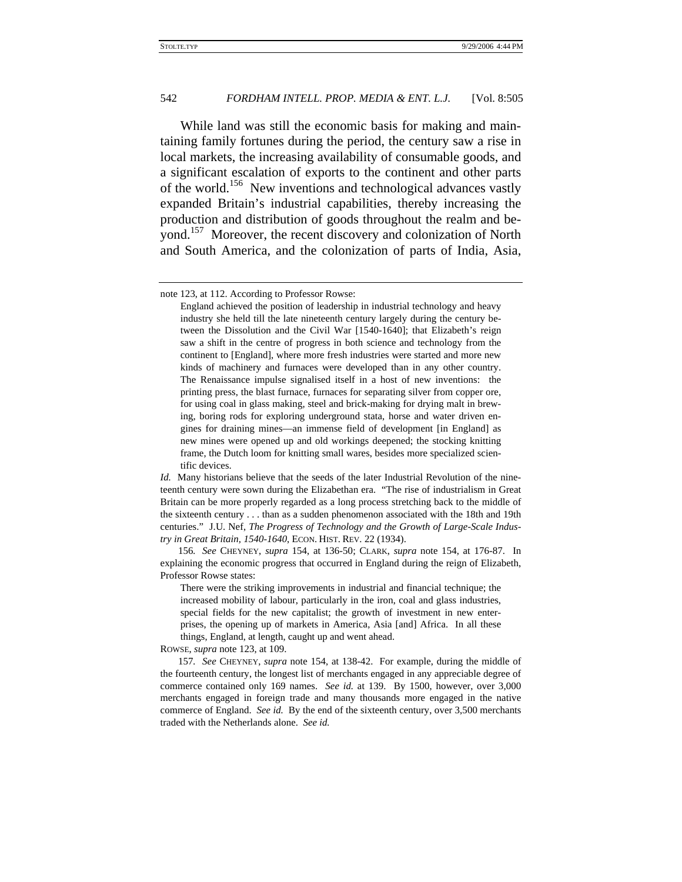While land was still the economic basis for making and maintaining family fortunes during the period, the century saw a rise in local markets, the increasing availability of consumable goods, and a significant escalation of exports to the continent and other parts of the world.<sup>156</sup> New inventions and technological advances vastly expanded Britain's industrial capabilities, thereby increasing the production and distribution of goods throughout the realm and beyond.157 Moreover, the recent discovery and colonization of North and South America, and the colonization of parts of India, Asia,

ROWSE, *supra* note 123, at 109.

157*. See* CHEYNEY, *supra* note 154, at 138-42. For example, during the middle of the fourteenth century, the longest list of merchants engaged in any appreciable degree of commerce contained only 169 names. *See id.* at 139. By 1500, however, over 3,000 merchants engaged in foreign trade and many thousands more engaged in the native commerce of England. *See id.* By the end of the sixteenth century, over 3,500 merchants traded with the Netherlands alone. *See id.*

note 123, at 112. According to Professor Rowse:

England achieved the position of leadership in industrial technology and heavy industry she held till the late nineteenth century largely during the century between the Dissolution and the Civil War [1540-1640]; that Elizabeth's reign saw a shift in the centre of progress in both science and technology from the continent to [England], where more fresh industries were started and more new kinds of machinery and furnaces were developed than in any other country. The Renaissance impulse signalised itself in a host of new inventions: the printing press, the blast furnace, furnaces for separating silver from copper ore, for using coal in glass making, steel and brick-making for drying malt in brewing, boring rods for exploring underground stata, horse and water driven engines for draining mines—an immense field of development [in England] as new mines were opened up and old workings deepened; the stocking knitting frame, the Dutch loom for knitting small wares, besides more specialized scientific devices.

*Id.* Many historians believe that the seeds of the later Industrial Revolution of the nineteenth century were sown during the Elizabethan era. "The rise of industrialism in Great Britain can be more properly regarded as a long process stretching back to the middle of the sixteenth century . . . than as a sudden phenomenon associated with the 18th and 19th centuries." J.U. Nef, *The Progress of Technology and the Growth of Large-Scale Industry in Great Britain, 1540-1640*, ECON. HIST. REV. 22 (1934).

<sup>156</sup>*. See* CHEYNEY, *supra* 154, at 136-50; CLARK, *supra* note 154, at 176-87. In explaining the economic progress that occurred in England during the reign of Elizabeth, Professor Rowse states:

There were the striking improvements in industrial and financial technique; the increased mobility of labour, particularly in the iron, coal and glass industries, special fields for the new capitalist; the growth of investment in new enterprises, the opening up of markets in America, Asia [and] Africa. In all these things, England, at length, caught up and went ahead.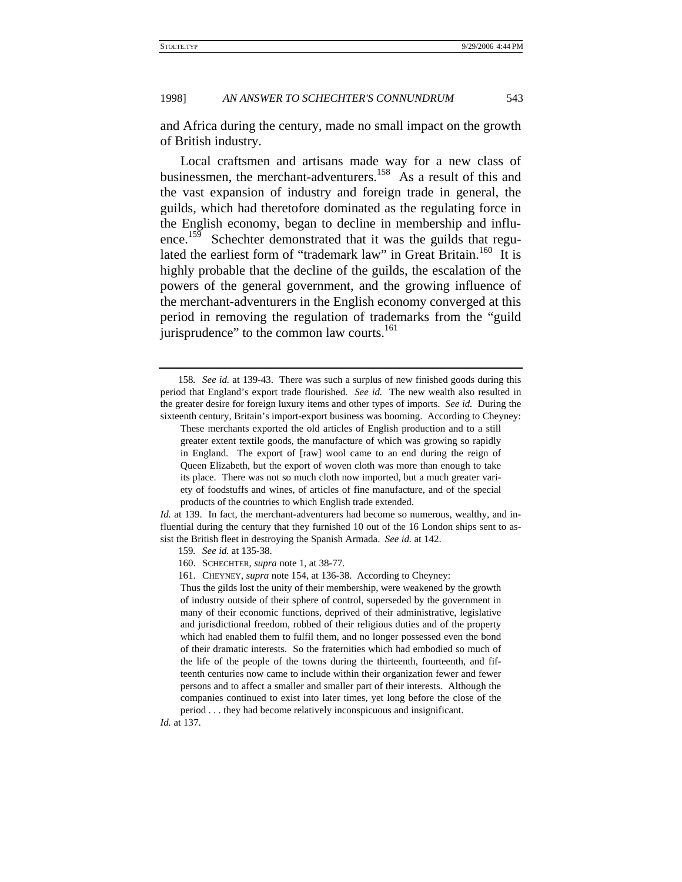and Africa during the century, made no small impact on the growth of British industry.

Local craftsmen and artisans made way for a new class of businessmen, the merchant-adventurers.<sup>158</sup> As a result of this and the vast expansion of industry and foreign trade in general, the guilds, which had theretofore dominated as the regulating force in the English economy, began to decline in membership and influence.<sup>159</sup> Schechter demonstrated that it was the guilds that regulated the earliest form of "trademark law" in Great Britain.<sup>160</sup> It is highly probable that the decline of the guilds, the escalation of the powers of the general government, and the growing influence of the merchant-adventurers in the English economy converged at this period in removing the regulation of trademarks from the "guild jurisprudence" to the common law courts.<sup>161</sup>

*Id.* at 139. In fact, the merchant-adventurers had become so numerous, wealthy, and influential during the century that they furnished 10 out of the 16 London ships sent to assist the British fleet in destroying the Spanish Armada. *See id.* at 142.

160. SCHECHTER, *supra* note 1, at 38-77.

161. CHEYNEY, *supra* note 154, at 136-38. According to Cheyney:

Thus the gilds lost the unity of their membership, were weakened by the growth of industry outside of their sphere of control, superseded by the government in many of their economic functions, deprived of their administrative, legislative and jurisdictional freedom, robbed of their religious duties and of the property which had enabled them to fulfil them, and no longer possessed even the bond of their dramatic interests. So the fraternities which had embodied so much of the life of the people of the towns during the thirteenth, fourteenth, and fifteenth centuries now came to include within their organization fewer and fewer persons and to affect a smaller and smaller part of their interests. Although the companies continued to exist into later times, yet long before the close of the period . . . they had become relatively inconspicuous and insignificant.

*Id.* at 137.

<sup>158</sup>*. See id.* at 139-43. There was such a surplus of new finished goods during this period that England's export trade flourished. *See id.* The new wealth also resulted in the greater desire for foreign luxury items and other types of imports. *See id.* During the sixteenth century, Britain's import-export business was booming. According to Cheyney:

These merchants exported the old articles of English production and to a still greater extent textile goods, the manufacture of which was growing so rapidly in England. The export of [raw] wool came to an end during the reign of Queen Elizabeth, but the export of woven cloth was more than enough to take its place. There was not so much cloth now imported, but a much greater variety of foodstuffs and wines, of articles of fine manufacture, and of the special products of the countries to which English trade extended.

<sup>159</sup>*. See id.* at 135-38.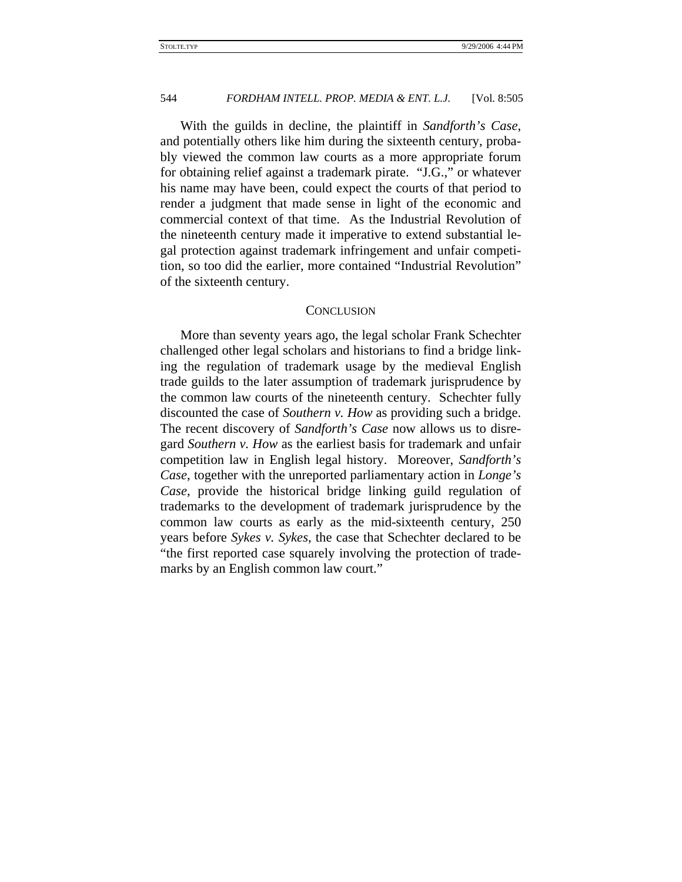With the guilds in decline, the plaintiff in *Sandforth's Case*, and potentially others like him during the sixteenth century, probably viewed the common law courts as a more appropriate forum for obtaining relief against a trademark pirate. "J.G.," or whatever his name may have been, could expect the courts of that period to render a judgment that made sense in light of the economic and commercial context of that time. As the Industrial Revolution of the nineteenth century made it imperative to extend substantial legal protection against trademark infringement and unfair competition, so too did the earlier, more contained "Industrial Revolution" of the sixteenth century.

#### **CONCLUSION**

More than seventy years ago, the legal scholar Frank Schechter challenged other legal scholars and historians to find a bridge linking the regulation of trademark usage by the medieval English trade guilds to the later assumption of trademark jurisprudence by the common law courts of the nineteenth century. Schechter fully discounted the case of *Southern v. How* as providing such a bridge. The recent discovery of *Sandforth's Case* now allows us to disregard *Southern v. How* as the earliest basis for trademark and unfair competition law in English legal history. Moreover, *Sandforth's Case*, together with the unreported parliamentary action in *Longe's Case*, provide the historical bridge linking guild regulation of trademarks to the development of trademark jurisprudence by the common law courts as early as the mid-sixteenth century, 250 years before *Sykes v. Sykes*, the case that Schechter declared to be "the first reported case squarely involving the protection of trademarks by an English common law court."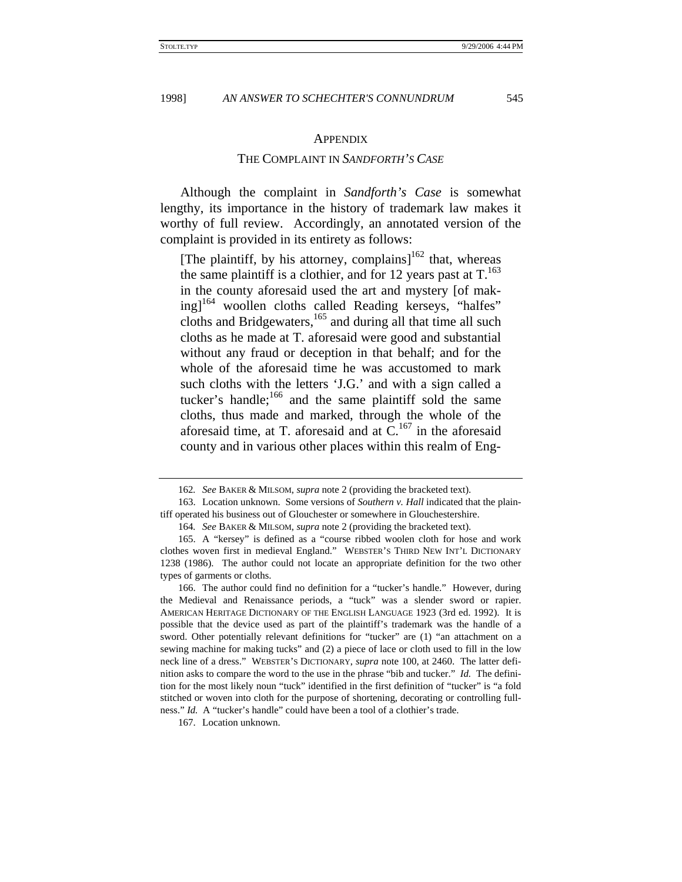#### **APPENDIX**

# THE COMPLAINT IN *SANDFORTH'S CASE*

Although the complaint in *Sandforth's Case* is somewhat lengthy, its importance in the history of trademark law makes it worthy of full review. Accordingly, an annotated version of the complaint is provided in its entirety as follows:

[The plaintiff, by his attorney, complains] $162$  that, whereas the same plaintiff is a clothier, and for 12 years past at  $T<sup>163</sup>$ in the county aforesaid used the art and mystery [of making]<sup>164</sup> woollen cloths called Reading kerseys, "halfes" cloths and Bridgewaters, $165$  and during all that time all such cloths as he made at T. aforesaid were good and substantial without any fraud or deception in that behalf; and for the whole of the aforesaid time he was accustomed to mark such cloths with the letters 'J.G.' and with a sign called a tucker's handle; $166$  and the same plaintiff sold the same cloths, thus made and marked, through the whole of the aforesaid time, at T. aforesaid and at  $C<sup>167</sup>$  in the aforesaid county and in various other places within this realm of Eng-

<sup>162</sup>*. See* BAKER & MILSOM, *supra* note 2 (providing the bracketed text).

<sup>163.</sup> Location unknown. Some versions of *Southern v. Hall* indicated that the plaintiff operated his business out of Glouchester or somewhere in Glouchestershire.

<sup>164</sup>*. See* BAKER & MILSOM, *supra* note 2 (providing the bracketed text).

<sup>165.</sup> A "kersey" is defined as a "course ribbed woolen cloth for hose and work clothes woven first in medieval England." WEBSTER'S THIRD NEW INT'L DICTIONARY 1238 (1986). The author could not locate an appropriate definition for the two other types of garments or cloths.

<sup>166.</sup> The author could find no definition for a "tucker's handle." However, during the Medieval and Renaissance periods, a "tuck" was a slender sword or rapier. AMERICAN HERITAGE DICTIONARY OF THE ENGLISH LANGUAGE 1923 (3rd ed. 1992). It is possible that the device used as part of the plaintiff's trademark was the handle of a sword. Other potentially relevant definitions for "tucker" are (1) "an attachment on a sewing machine for making tucks" and (2) a piece of lace or cloth used to fill in the low neck line of a dress." WEBSTER'S DICTIONARY, *supra* note 100, at 2460. The latter definition asks to compare the word to the use in the phrase "bib and tucker." *Id.* The definition for the most likely noun "tuck" identified in the first definition of "tucker" is "a fold stitched or woven into cloth for the purpose of shortening, decorating or controlling fullness." *Id.* A "tucker's handle" could have been a tool of a clothier's trade.

<sup>167.</sup> Location unknown.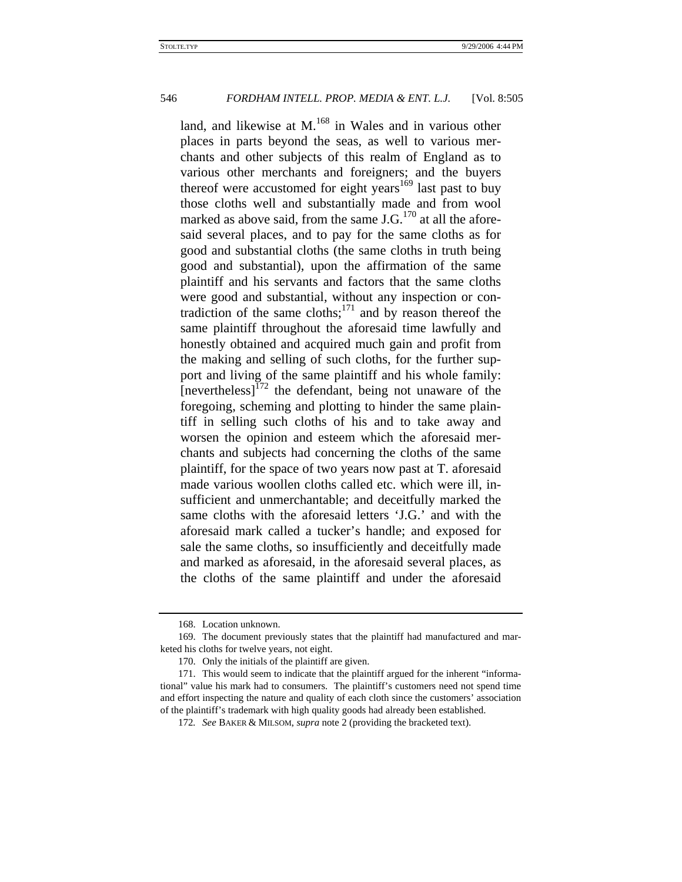land, and likewise at M.<sup>168</sup> in Wales and in various other places in parts beyond the seas, as well to various merchants and other subjects of this realm of England as to various other merchants and foreigners; and the buyers thereof were accustomed for eight years<sup>169</sup> last past to buy those cloths well and substantially made and from wool marked as above said, from the same  $J.G.<sup>170</sup>$  at all the aforesaid several places, and to pay for the same cloths as for good and substantial cloths (the same cloths in truth being good and substantial), upon the affirmation of the same plaintiff and his servants and factors that the same cloths were good and substantial, without any inspection or contradiction of the same cloths; $^{171}$  and by reason thereof the same plaintiff throughout the aforesaid time lawfully and honestly obtained and acquired much gain and profit from the making and selling of such cloths, for the further support and living of the same plaintiff and his whole family:  $[nevertheless]^{172}$  the defendant, being not unaware of the foregoing, scheming and plotting to hinder the same plaintiff in selling such cloths of his and to take away and worsen the opinion and esteem which the aforesaid merchants and subjects had concerning the cloths of the same plaintiff, for the space of two years now past at T. aforesaid made various woollen cloths called etc. which were ill, insufficient and unmerchantable; and deceitfully marked the same cloths with the aforesaid letters 'J.G.' and with the aforesaid mark called a tucker's handle; and exposed for sale the same cloths, so insufficiently and deceitfully made and marked as aforesaid, in the aforesaid several places, as the cloths of the same plaintiff and under the aforesaid

<sup>168.</sup> Location unknown.

<sup>169.</sup> The document previously states that the plaintiff had manufactured and marketed his cloths for twelve years, not eight.

<sup>170.</sup> Only the initials of the plaintiff are given.

<sup>171.</sup> This would seem to indicate that the plaintiff argued for the inherent "informational" value his mark had to consumers. The plaintiff's customers need not spend time and effort inspecting the nature and quality of each cloth since the customers' association of the plaintiff's trademark with high quality goods had already been established.

<sup>172</sup>*. See* BAKER & MILSOM, *supra* note 2 (providing the bracketed text).